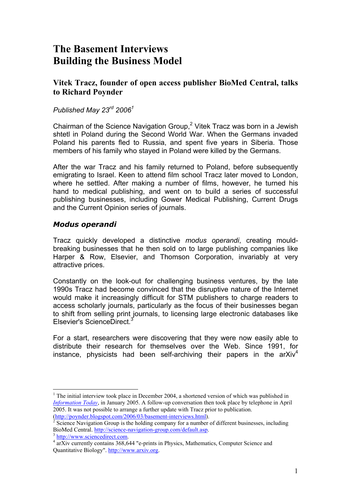# **The Basement Interviews Building the Business Model**

## **Vitek Tracz, founder of open access publisher BioMed Central, talks to Richard Poynder**

## *Published May 23rd 2006[1](#page-0-0)*

Chairman of the Science Navigation Group,<sup>[2](#page-0-1)</sup> Vitek Tracz was born in a Jewish shtetl in Poland during the Second World War. When the Germans invaded Poland his parents fled to Russia, and spent five years in Siberia. Those members of his family who stayed in Poland were killed by the Germans.

After the war Tracz and his family returned to Poland, before subsequently emigrating to Israel. Keen to attend film school Tracz later moved to London, where he settled. After making a number of films, however, he turned his hand to medical publishing, and went on to build a series of successful publishing businesses, including Gower Medical Publishing, Current Drugs and the Current Opinion series of journals.

## *Modus operandi*

Tracz quickly developed a distinctive *modus operandi*, creating mouldbreaking businesses that he then sold on to large publishing companies like Harper & Row, Elsevier, and Thomson Corporation, invariably at very attractive prices.

Constantly on the look-out for challenging business ventures, by the late 1990s Tracz had become convinced that the disruptive nature of the Internet would make it increasingly difficult for STM publishers to charge readers to access scholarly journals, particularly as the focus of their businesses began to shift from selling print journals, to licensing large electronic databases like Elsevier's ScienceDirect.[3](#page-0-2)

For a start, researchers were discovering that they were now easily able to distribute their research for themselves over the Web. Since 1991, for instance, physicists had been self-archiving their papers in the  $arXiv<sup>4</sup>$  $arXiv<sup>4</sup>$  $arXiv<sup>4</sup>$ 

<span id="page-0-0"></span><sup>&</sup>lt;sup>1</sup> The initial interview took place in December 2004, a shortened version of which was published in *[Information Today](http://www.infotoday.com/it/jan05/poynder.shtml)*, in January 2005. A follow-up conversation then took place by telephone in April 2005. It was not possible to arrange a further update with Tracz prior to publication. [\(http://poynder.blogspot.com/2006/03/basement-interviews.html](http://poynder.blogspot.com/2006/03/basement-interviews.html)). [2](http://poynder.blogspot.com/2006/03/basement-interviews.html)

<span id="page-0-1"></span>Science Navigation Group is the holding company for a number of different businesses, including BioMed Central. [http://science-navigation-group.com/default.asp.](http://science-navigation-group.com/default.asp)<br><sup>3</sup> [http://www.sciencedirect.com.](http://www.sciencedirect.com/)

<span id="page-0-2"></span>

<span id="page-0-3"></span><sup>&</sup>lt;sup>4</sup> arXiv currently contains 368,644 "e-prints in Physics, Mathematics, Computer Science and Quantitative Biology". [http://www.arxiv.org](http://www.arxiv.org/).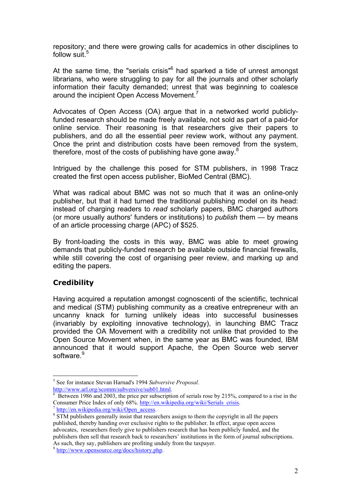repository; and there were growing calls for academics in other disciplines to follow suit.<sup>[5](#page-1-0)</sup>

At the same time, the "serials crisis"<sup>[6](#page-1-1)</sup> had sparked a tide of unrest amongst librarians, who were struggling to pay for all the journals and other scholarly information their faculty demanded; unrest that was beginning to coalesce around the incipient Open Access Movement.<sup>[7](#page-1-2)</sup>

Advocates of Open Access (OA) argue that in a networked world publiclyfunded research should be made freely available, not sold as part of a paid-for online service. Their reasoning is that researchers give their papers to publishers, and do all the essential peer review work, without any payment. Once the print and distribution costs have been removed from the system, therefore, most of the costs of publishing have gone away.<sup>[8](#page-1-3)</sup>

Intrigued by the challenge this posed for STM publishers, in 1998 Tracz created the first open access publisher, BioMed Central (BMC).

What was radical about BMC was not so much that it was an online-only publisher, but that it had turned the traditional publishing model on its head: instead of charging readers to *read* scholarly papers, BMC charged authors (or more usually authors' funders or institutions) to *publish* them — by means of an article processing charge (APC) of \$525.

By front-loading the costs in this way, BMC was able to meet growing demands that publicly-funded research be available outside financial firewalls, while still covering the cost of organising peer review, and marking up and editing the papers.

## **Credibility**

Having acquired a reputation amongst cognoscenti of the scientific, technical and medical (STM) publishing community as a creative entrepreneur with an uncanny knack for turning unlikely ideas into successful businesses (invariably by exploiting innovative technology), in launching BMC Tracz provided the OA Movement with a credibility not unlike that provided to the Open Source Movement when, in the same year as BMC was founded, IBM announced that it would support Apache, the Open Source web server software.<sup>[9](#page-1-4)</sup>

<span id="page-1-0"></span> $\overline{a}$ 5 See for instance Stevan Harnad's 1994 *Subversive Proposal*. [http://www.arl.org/scomm/subversive/sub01.html.](http://www.arl.org/scomm/subversive/sub01.html)

<span id="page-1-1"></span>Between 1986 and 2003, the price per subscription of serials rose by 215%, compared to a rise in the Consumer Price Index of only 68%. [http://en.wikipedia.org/wiki/Serials\\_crisis](http://en.wikipedia.org/wiki/Serials_crisis).<sup>7</sup> [http://en.wikipedia.org/wiki/Open\\_access.](http://en.wikipedia.org/wiki/Open_access)

<span id="page-1-2"></span>

<span id="page-1-3"></span><sup>&</sup>lt;sup>8</sup> STM publishers generally insist that researchers assign to them the copyright in all the papers published, thereby handing over exclusive rights to the publisher. In effect, argue open access advocates, researchers freely give to publishers research that has been publicly funded, and the publishers then sell that research back to researchers' institutions in the form of journal subscriptions. As such, they say, publishers are profiting unduly from the taxpayer.<br><sup>9</sup> <http://www.opensource.org/docs/history.php>.

<span id="page-1-4"></span>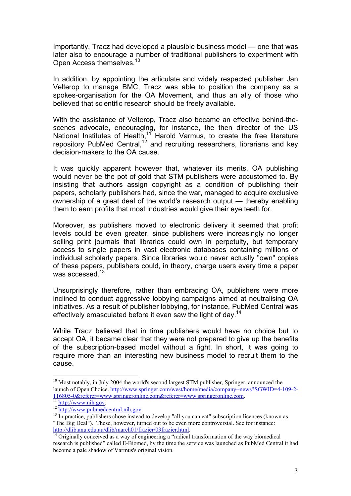Importantly, Tracz had developed a plausible business model — one that was later also to encourage a number of traditional publishers to experiment with Open Access themselves.<sup>[10](#page-2-0)</sup>

In addition, by appointing the articulate and widely respected publisher Jan Velterop to manage BMC, Tracz was able to position the company as a spokes-organisation for the OA Movement, and thus an ally of those who believed that scientific research should be freely available.

With the assistance of Velterop, Tracz also became an effective behind-thescenes advocate, encouraging, for instance, the then director of the US National Institutes of Health,<sup>11</sup> Harold Varmus, to create the free literature repository PubMed Central,<sup>12</sup> and recruiting researchers, librarians and key decision-makers to the OA cause.

It was quickly apparent however that, whatever its merits, OA publishing would never be the pot of gold that STM publishers were accustomed to. By insisting that authors assign copyright as a condition of publishing their papers, scholarly publishers had, since the war, managed to acquire exclusive ownership of a great deal of the world's research output — thereby enabling them to earn profits that most industries would give their eye teeth for.

Moreover, as publishers moved to electronic delivery it seemed that profit levels could be even greater, since publishers were increasingly no longer selling print journals that libraries could own in perpetuity, but temporary access to single papers in vast electronic databases containing millions of individual scholarly papers. Since libraries would never actually "own" copies of these papers, publishers could, in theory, charge users every time a paper was accessed.<sup>[13](#page-2-3)</sup>

Unsurprisingly therefore, rather than embracing OA, publishers were more inclined to conduct aggressive lobbying campaigns aimed at neutralising OA initiatives. As a result of publisher lobbying, for instance, PubMed Central was effectively emasculated before it even saw the light of day.<sup>14</sup>

While Tracz believed that in time publishers would have no choice but to accept OA, it became clear that they were not prepared to give up the benefits of the subscription-based model without a fight. In short, it was going to require more than an interesting new business model to recruit them to the cause.

<span id="page-2-0"></span><sup>&</sup>lt;sup>10</sup> Most notably, in July 2004 the world's second largest STM publisher, Springer, announced the launch of Open Choice. [http://www.springer.com/west/home/media/company+news?SGWID=4-109-2-](http://www.springer.com/west/home/media/company+news?SGWID=4-109-2-116805-0&referer=www.springeronline.com&referer=www.springeronline.com)  $\frac{116805-0&\text{reference}+www.springeronline.com&\text{reference}+www.springeronline.com}{\frac{11}{11}\frac{http://www.nih.gov}{http://www.nih.gov}}$  $\frac{116805-0&\text{reference}+www.springeronline.com&\text{reference}+www.springeronline.com}{\frac{11}{11}\frac{http://www.nih.gov}{http://www.nih.gov}}$  $\frac{116805-0&\text{reference}+www.springeronline.com&\text{reference}+www.springeronline.com}{\frac{11}{11}\frac{http://www.nih.gov}{http://www.nih.gov}}$ <br>  $\frac{12}{11}\frac{http://www.nih.gov}{http://www.nubmedcentral.nih.gov}.$ 

<span id="page-2-1"></span>

<span id="page-2-2"></span>

<span id="page-2-3"></span><sup>&</sup>quot;The Big Deal"). These, however, turned out to be even more controversial. See for instance: <http://dlib.anu.edu.au/dlib/march01/frazier/03frazier.html>.<br><sup>[14](http://dlib.anu.edu.au/dlib/march01/frazier/03frazier.html)</sup> Originally conceived as a way of engineering a "radical transformation of the way biomedical

<span id="page-2-4"></span>research is published" called E-Biomed, by the time the service was launched as PubMed Central it had become a pale shadow of Varmus's original vision.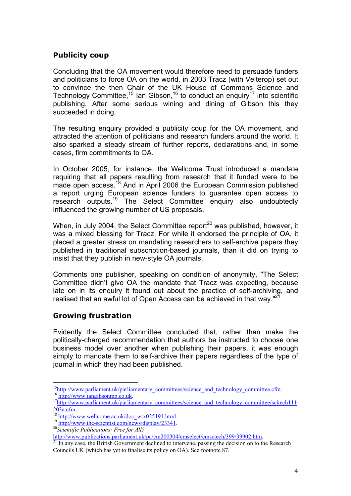## **Publicity coup**

Concluding that the OA movement would therefore need to persuade funders and politicians to force OA on the world, in 2003 Tracz (with Velterop) set out to convince the then Chair of the UK House of Commons Science and Technology Committee,<sup>15</sup> Ian Gibson,<sup>16</sup> to conduct an enquiry<sup>17</sup> into scientific publishing. After some serious wining and dining of Gibson this they succeeded in doing.

The resulting enquiry provided a publicity coup for the OA movement, and attracted the attention of politicians and research funders around the world. It also sparked a steady stream of further reports, declarations and, in some cases, firm commitments to OA.

In October 2005, for instance, the Wellcome Trust introduced a mandate requiring that all papers resulting from research that it funded were to be made open access.<sup>18</sup> And in April 2006 the European Commission published a report urging European science funders to guarantee open access to research outputs.<sup>19</sup> The Select Committee enquiry also undoubtedly influenced the growing number of US proposals.

When, in July 2004, the Select Committee report<sup>20</sup> was published, however, it was a mixed blessing for Tracz. For while it endorsed the principle of OA, it placed a greater stress on mandating researchers to self-archive papers they published in traditional subscription-based journals, than it did on trying to insist that they publish in new-style OA journals.

Comments one publisher, speaking on condition of anonymity, "The Select Committee didn't give OA the mandate that Tracz was expecting, because late on in its enquiry it found out about the practice of self-archiving, and realised that an awful lot of Open Access can be achieved in that way."[21](#page-3-6)

## **Growing frustration**

 $\overline{a}$ 

Evidently the Select Committee concluded that, rather than make the politically-charged recommendation that authors be instructed to choose one business model over another when publishing their papers, it was enough simply to mandate them to self-archive their papers regardless of the type of journal in which they had been published.

<span id="page-3-1"></span><span id="page-3-0"></span><sup>&</sup>lt;sup>15</sup>http://www.parliament.uk/parliamentary\_committees/science\_and\_technology\_committee.cfm. 1[6](http://www.parliament.uk/parliamentary_committees/science_and_technology_committee.cfm) [http://www.iangibsonmp.co.uk.](http://www.iangibsonmp.co.uk/)1[7http://www.parliament.uk/parliamentary\\_committees/science\\_and\\_technology\\_committee/scitech111](http://www.parliament.uk/parliamentary_committees/science_and_technology_committee/scitech111203a.cfm)

<span id="page-3-2"></span>[<sup>203</sup>a.cfm.](http://www.parliament.uk/parliamentary_committees/science_and_technology_committee/scitech111203a.cfm)<br><sup>[18](http://www.parliament.uk/parliamentary_committees/science_and_technology_committee/scitech111203a.cfm)</sup> [http://www.wellcome.ac.uk/doc\\_wtx025191.html](http://www.wellcome.ac.uk/doc_wtx025191.html).<br><sup>19</sup> <http://www.the-scientist.com/news/display/23341>.<br><sup>20</sup>*Scientific Publications: Free for All?* 

<span id="page-3-3"></span>

<span id="page-3-4"></span>

<span id="page-3-5"></span>

<span id="page-3-6"></span>

[http://www.publications.parliament.uk/pa/cm200304/cmselect/cmsctech/399/39902.htm.](http://www.publications.parliament.uk/pa/cm200304/cmselect/cmsctech/399/39902.htm)<br><sup>21</sup> In any case, the British Government declined to intervene, passing the decision on to the Research Councils UK (which has yet to finalise its policy on OA). See footnote 87.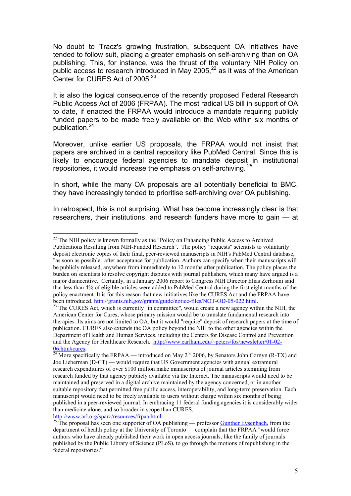No doubt to Tracz's growing frustration, subsequent OA initiatives have tended to follow suit, placing a greater emphasis on self-archiving than on OA publishing. This, for instance, was the thrust of the voluntary NIH Policy on public access to research introduced in May 2005, $^{22}$  as it was of the American Center for CURES Act of 2005.<sup>23</sup>

It is also the logical consequence of the recently proposed Federal Research Public Access Act of 2006 (FRPAA). The most radical US bill in support of OA to date, if enacted the FRPAA would introduce a mandate requiring publicly funded papers to be made freely available on the Web within six months of publication.[24](#page-4-2) 

Moreover, unlike earlier US proposals, the FRPAA would not insist that papers are archived in a central repository like PubMed Central. Since this is likely to encourage federal agencies to mandate deposit in institutional repositories, it would increase the emphasis on self-archiving. [25](#page-4-3)

In short, while the many OA proposals are all potentially beneficial to BMC, they have increasingly tended to prioritise self-archiving over OA publishing.

In retrospect, this is not surprising. What has become increasingly clear is that researchers, their institutions, and research funders have more to gain — at

<span id="page-4-3"></span>

<span id="page-4-0"></span> $22$  The NIH policy is known formally as the "Policy on Enhancing Public Access to Archived Publications Resulting from NIH-Funded Research". The policy "requests" scientists to voluntarily deposit electronic copies of their final, peer-reviewed manuscripts in NIH's PubMed Central database, "as soon as possible" after acceptance for publication. Authors can specify when their manuscripts will be publicly released, anywhere from immediately to 12 months after publication. The policy places the burden on scientists to resolve copyright disputes with journal publishers, which many have argued is a major disincentive. Certainly, in a January 2006 report to Congress NIH Director Elias Zerhouni said that less than 4% of eligible articles were added to PubMed Central during the first eight months of the policy enactment. It is for this reason that new initiatives like the CURES Act and the FRPAA have been introduced.<http://grants.nih.gov/grants/guide/notice-files/NOT-OD-05-022.html>.<br><sup>23</sup> The CURES Act, which is currently "in committee", would create a new agency within the NIH, the

<span id="page-4-1"></span>American Center for Cures, whose primary mission would be to translate fundamental research into therapies. Its aims are not limited to OA, but it would "require" deposit of research papers at the time of publication. CURES also extends the OA policy beyond the NIH to the other agencies within the Department of Health and Human Services, including the Centers for Disease Control and Prevention and the Agency for Healthcare Research. [http://www.earlham.edu/~peters/fos/newsletter/01-02-](http://www.earlham.edu/~peters/fos/newsletter/01-02-06.htm)  $\frac{06. \text{htm}\# \text{curcs}}{24}$  $\frac{06. \text{htm}\# \text{curcs}}{24}$  $\frac{06. \text{htm}\# \text{curcs}}{24}$  More specifically the FRPAA — introduced on May 2<sup>nd</sup> 2006, by Senators John Cornyn (R-TX) and

<span id="page-4-2"></span>Joe Lieberman (D-CT) — would require that US Government agencies with annual extramural research expenditures of over \$100 million make manuscripts of journal articles stemming from research funded by that agency publicly available via the Internet. The manuscripts would need to be maintained and preserved in a digital archive maintained by the agency concerned, or in another suitable repository that permitted free public access, interoperability, and long-term preservation. Each manuscript would need to be freely available to users without charge within six months of being published in a peer-reviewed journal. In embracing 11 federal funding agencies it is considerably wider than medicine alone, and so broader in scope than CURES.<br>http://www.arl.org/sparc/resources/frpaa.html.

[http://www.arl.org/sparc/resources/frpaa.html.](http://www.arl.org/sparc/resources/frpaa.html)<br><sup>[25](http://www.arl.org/sparc/resources/frpaa.html)</sup> The proposal has seen one supporter of OA publishing — professor <u>Gunther Eysenbach</u>, from the department of health policy at the University of Toronto — complain that the FRPAA "would force authors who have already published their work in open access journals, like the family of journals published by the Public Library of Science (PLoS), to go through the motions of republishing in the federal repositories."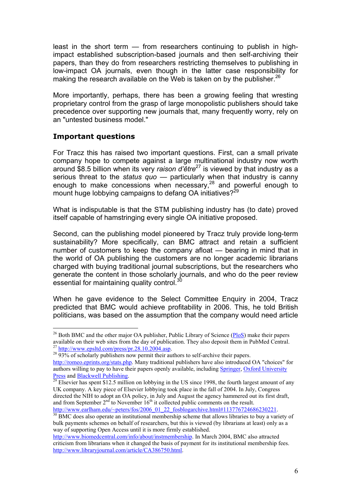least in the short term — from researchers continuing to publish in highimpact established subscription-based journals and then self-archiving their papers, than they do from researchers restricting themselves to publishing in low-impact OA journals, even though in the latter case responsibility for making the research available on the Web is taken on by the publisher.<sup>[26](#page-5-0)</sup>

More importantly, perhaps, there has been a growing feeling that wresting proprietary control from the grasp of large monopolistic publishers should take precedence over supporting new journals that, many frequently worry, rely on an "untested business model."

## **Important questions**

 $\overline{a}$ 

For Tracz this has raised two important questions. First, can a small private company hope to compete against a large multinational industry now worth around \$8.5 billion when its very *raison d'être*[27](#page-5-1) is viewed by that industry as a serious threat to the *status quo* — particularly when that industry is canny enough to make concessions when necessary,<sup>28</sup> and powerful enough to mount huge lobbying campaigns to defang  $OA$  initiatives?<sup>29</sup>

What is indisputable is that the STM publishing industry has (to date) proved itself capable of hamstringing every single OA initiative proposed.

Second, can the publishing model pioneered by Tracz truly provide long-term sustainability? More specifically, can BMC attract and retain a sufficient number of customers to keep the company afloat — bearing in mind that in the world of OA publishing the customers are no longer academic librarians charged with buying traditional journal subscriptions, but the researchers who generate the content in those scholarly journals, and who do the peer review essential for maintaining quality control.<sup>3</sup>

When he gave evidence to the Select Committee Enquiry in 2004, Tracz predicted that BMC would achieve profitability in 2006. This, he told British politicians, was based on the assumption that the company would need article

<span id="page-5-0"></span><sup>&</sup>lt;sup>26</sup> Both BMC and the other major OA publisher, Public Library of Science ( $P$ loS) make their papers available on their web sites from the day of publication. They also deposit them in PubMed Central.  $^{27}$  <http://www.epsltd.com/press/pr.28.10.2004.asp>.<br><sup>28</sup> 93% of scholarly publishers now permit their authors to self-archive their papers.

<span id="page-5-2"></span><span id="page-5-1"></span><http://romeo.eprints.org/stats.php>. Many traditional publishers have also introduced OA "choices" for authors willing to pay to have their papers openly available, including [Springer,](http://www.springer.com/uk/home/open+choice?SGWID=3-40359-2-115277-0) [Oxford University](http://www.oxfordjournals.org/oxfordopen)   $\frac{\text{Press}}{29}$  $\frac{\text{Press}}{29}$  $\frac{\text{Press}}{29}$  $\frac{\text{Press}}{29}$  $\frac{\text{Press}}{29}$  Elsevier has spent \$12.5 million on lobbying in the US since 1998, the fourth largest amount of any

<span id="page-5-3"></span>UK company. A key piece of Elsevier lobbying took place in the fall of 2004. In July, Congress directed the NIH to adopt an OA policy, in July and August the agency hammered out its first draft, and from September  $2<sup>nd</sup>$  to November 16<sup>th</sup> it collected public comments on the result.<br>http://www.earlham.edu/~peters/fos/2006 01 22 fosblogarchive.html#113776724686230221.

<span id="page-5-4"></span> $\frac{30}{30}$  $\frac{30}{30}$  $\frac{30}{30}$  BMC does also operate an institutional membership scheme that allows libraries to buy a variety of bulk payments schemes on behalf of researchers, but this is viewed (by librarians at least) only as a way of supporting Open Access until it is more firmly established.

[http://www.biomedcentral.com/info/about/instmembership.](http://www.biomedcentral.com/info/about/instmembership) In March 2004, BMC also attracted criticism from librarians when it changed the basis of payment for its institutional membership fees. [http://www.libraryjournal.com/article/CA386750.html.](http://www.libraryjournal.com/article/CA386750.html)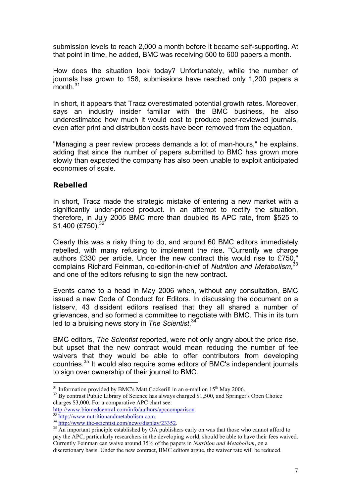submission levels to reach 2,000 a month before it became self-supporting. At that point in time, he added, BMC was receiving 500 to 600 papers a month.

How does the situation look today? Unfortunately, while the number of journals has grown to 158, submissions have reached only 1,200 papers a month.<sup>[31](#page-6-0)</sup>

In short, it appears that Tracz overestimated potential growth rates. Moreover, says an industry insider familiar with the BMC business, he also underestimated how much it would cost to produce peer-reviewed journals, even after print and distribution costs have been removed from the equation.

"Managing a peer review process demands a lot of man-hours," he explains, adding that since the number of papers submitted to BMC has grown more slowly than expected the company has also been unable to exploit anticipated economies of scale.

## **Rebelled**

 $\overline{a}$ 

In short, Tracz made the strategic mistake of entering a new market with a significantly under-priced product. In an attempt to rectify the situation, therefore, in July 2005 BMC more than doubled its APC rate, from \$525 to  $$1,400$  (£750).<sup>32</sup>

Clearly this was a risky thing to do, and around 60 BMC editors immediately rebelled, with many refusing to implement the rise. "Currently we charge authors £330 per article. Under the new contract this would rise to £750," complains Richard Feinman, co-editor-in-chief of *Nutrition and Metabolism*, [33](#page-6-2) and one of the editors refusing to sign the new contract.

Events came to a head in May 2006 when, without any consultation, BMC issued a new Code of Conduct for Editors. In discussing the document on a listserv, 43 dissident editors realised that they all shared a number of grievances, and so formed a committee to negotiate with BMC. This in its turn led to a bruising news story in *The Scientist*. [34](#page-6-3) 

BMC editors, *The Scientist* reported, were not only angry about the price rise, but upset that the new contract would mean reducing the number of fee waivers that they would be able to offer contributors from developing countries.[35](#page-6-4) It would also require some editors of BMC's independent journals to sign over ownership of their journal to BMC.

<span id="page-6-1"></span><span id="page-6-0"></span>

<sup>&</sup>lt;sup>31</sup> Information provided by BMC's Matt Cockerill in an e-mail on  $15<sup>th</sup>$  May 2006.<br><sup>32</sup> By contrast Public Library of Science has always charged \$1,500, and Springer's Open Choice charges \$3,000. For a comparative APC chart see:<br>http://www.biomedcentral.com/info/authors/apccomparison.

<span id="page-6-2"></span>

<span id="page-6-4"></span><span id="page-6-3"></span>

 $\frac{33 \text{ http://www.nutritionandmetabolism.com}}{34 \text{ http://www.nutritionandmetabolism.com}}$  $\frac{33 \text{ http://www.nutritionandmetabolism.com}}{34 \text{ http://www.nutritionandmetabolism.com}}$  $\frac{33 \text{ http://www.nutritionandmetabolism.com}}{34 \text{ http://www.nutritionandmetabolism.com}}$ <br>34 <http://www.the-scientist.com/news/display/23352>. pay the APC, particularly researchers in the developing world, should be able to have their fees waived. Currently Feinman can waive around 35% of the papers in *Nutrition and Metabolism*, on a discretionary basis. Under the new contract, BMC editors argue, the waiver rate will be reduced.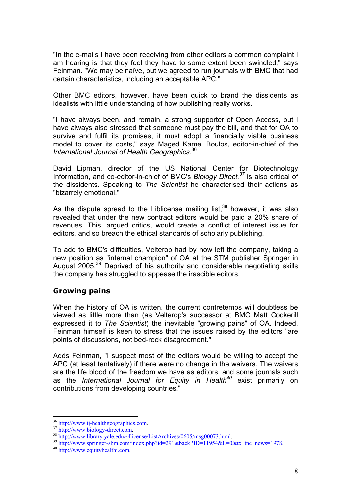"In the e-mails I have been receiving from other editors a common complaint I am hearing is that they feel they have to some extent been swindled," says Feinman. "We may be naïve, but we agreed to run journals with BMC that had certain characteristics, including an acceptable APC."

Other BMC editors, however, have been quick to brand the dissidents as idealists with little understanding of how publishing really works.

"I have always been, and remain, a strong supporter of Open Access, but I have always also stressed that someone must pay the bill, and that for OA to survive and fulfil its promises, it must adopt a financially viable business model to cover its costs," says Maged Kamel Boulos, editor-in-chief of the *International Journal of Health Geographics.*[36](#page-7-0)

David Lipman, director of the US National Center for Biotechnology Information, and co-editor-in-chief of BMC's *Biology Direct,[37](#page-7-1)* is also critical of the dissidents. Speaking to *The Scientist* he characterised their actions as "bizarrely emotional."

As the dispute spread to the Liblicense mailing list,  $38$  however, it was also revealed that under the new contract editors would be paid a 20% share of revenues. This, argued critics, would create a conflict of interest issue for editors, and so breach the ethical standards of scholarly publishing.

To add to BMC's difficulties, Velterop had by now left the company, taking a new position as "internal champion" of OA at the STM publisher Springer in August 2005<sup>39</sup> Deprived of his authority and considerable negotiating skills the company has struggled to appease the irascible editors.

## **Growing pains**

When the history of OA is written, the current contretemps will doubtless be viewed as little more than (as Velterop's successor at BMC Matt Cockerill expressed it to *The Scientist*) the inevitable "growing pains" of OA. Indeed, Feinman himself is keen to stress that the issues raised by the editors "are points of discussions, not bed-rock disagreement."

Adds Feinman, "I suspect most of the editors would be willing to accept the APC (at least tentatively) if there were no change in the waivers. The waivers are the life blood of the freedom we have as editors, and some journals such as the *International Journal for Equity in Healt[h40](#page-7-4)* exist primarily on contributions from developing countries."

<span id="page-7-0"></span><sup>&</sup>lt;sup>36</sup> http://www.ij-healthgeographics.com.

<span id="page-7-1"></span>

<span id="page-7-3"></span><span id="page-7-2"></span>

<sup>&</sup>lt;sup>37</sup><br>[http://www.biology-direct.com.](http://www.biology-direct.com/)<br><sup>38</sup> [http://www.library.yale.edu/~llicense/ListArchives/0605/msg00073.html.](http://www.library.yale.edu/~llicense/ListArchives/0605/msg00073.html)<br><sup>39</sup> [http://www.springer-sbm.com/index.php?id=291&backPID=11954&L=0&tx\\_tnc\\_news=1978](http://www.springer-sbm.com/index.php?id=291&backPID=11954&L=0&tx_tnc_news=1978).<br><sup>40</sup> http://www.equityhe

<span id="page-7-4"></span>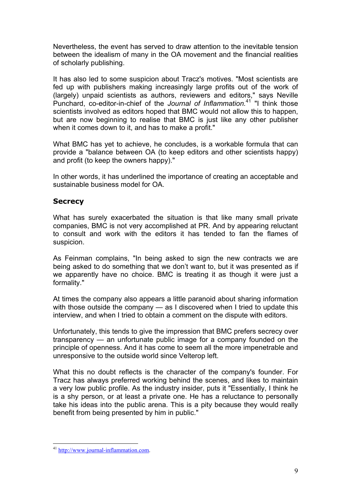Nevertheless, the event has served to draw attention to the inevitable tension between the idealism of many in the OA movement and the financial realities of scholarly publishing.

It has also led to some suspicion about Tracz's motives. "Most scientists are fed up with publishers making increasingly large profits out of the work of (largely) unpaid scientists as authors, reviewers and editors," says Neville Punchard, co-editor-in-chief of the *Journal of Inflammation.*[41](#page-8-0) "I think those scientists involved as editors hoped that BMC would not allow this to happen, but are now beginning to realise that BMC is just like any other publisher when it comes down to it, and has to make a profit."

What BMC has yet to achieve, he concludes, is a workable formula that can provide a "balance between OA (to keep editors and other scientists happy) and profit (to keep the owners happy)."

In other words, it has underlined the importance of creating an acceptable and sustainable business model for OA.

#### **Secrecy**

What has surely exacerbated the situation is that like many small private companies, BMC is not very accomplished at PR. And by appearing reluctant to consult and work with the editors it has tended to fan the flames of suspicion.

As Feinman complains, "In being asked to sign the new contracts we are being asked to do something that we don't want to, but it was presented as if we apparently have no choice. BMC is treating it as though it were just a formality."

At times the company also appears a little paranoid about sharing information with those outside the company — as I discovered when I tried to update this interview, and when I tried to obtain a comment on the dispute with editors.

Unfortunately, this tends to give the impression that BMC prefers secrecy over transparency — an unfortunate public image for a company founded on the principle of openness. And it has come to seem all the more impenetrable and unresponsive to the outside world since Velterop left.

What this no doubt reflects is the character of the company's founder. For Tracz has always preferred working behind the scenes, and likes to maintain a very low public profile. As the industry insider, puts it "Essentially, I think he is a shy person, or at least a private one. He has a reluctance to personally take his ideas into the public arena. This is a pity because they would really benefit from being presented by him in public."

<span id="page-8-0"></span><sup>&</sup>lt;sup>41</sup> [http://www.journal-inflammation.com.](http://www.journal-inflammation.com/)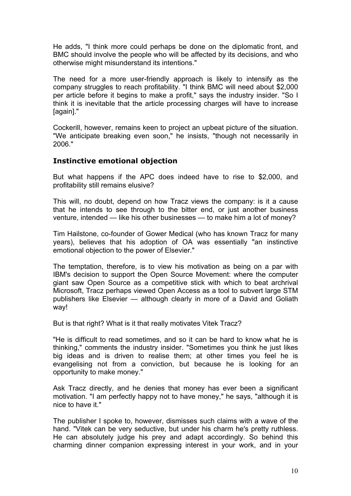He adds, "I think more could perhaps be done on the diplomatic front, and BMC should involve the people who will be affected by its decisions, and who otherwise might misunderstand its intentions."

The need for a more user-friendly approach is likely to intensify as the company struggles to reach profitability. "I think BMC will need about \$2,000 per article before it begins to make a profit," says the industry insider. "So I think it is inevitable that the article processing charges will have to increase [again]."

Cockerill, however, remains keen to project an upbeat picture of the situation. "We anticipate breaking even soon," he insists, "though not necessarily in 2006."

#### **Instinctive emotional objection**

But what happens if the APC does indeed have to rise to \$2,000, and profitability still remains elusive?

This will, no doubt, depend on how Tracz views the company: is it a cause that he intends to see through to the bitter end, or just another business venture, intended — like his other businesses — to make him a lot of money?

Tim Hailstone, co-founder of Gower Medical (who has known Tracz for many years), believes that his adoption of OA was essentially "an instinctive emotional objection to the power of Elsevier."

The temptation, therefore, is to view his motivation as being on a par with IBM's decision to support the Open Source Movement: where the computer giant saw Open Source as a competitive stick with which to beat archrival Microsoft, Tracz perhaps viewed Open Access as a tool to subvert large STM publishers like Elsevier — although clearly in more of a David and Goliath way!

But is that right? What is it that really motivates Vitek Tracz?

"He is difficult to read sometimes, and so it can be hard to know what he is thinking," comments the industry insider. "Sometimes you think he just likes big ideas and is driven to realise them; at other times you feel he is evangelising not from a conviction, but because he is looking for an opportunity to make money."

Ask Tracz directly, and he denies that money has ever been a significant motivation. "I am perfectly happy not to have money," he says, "although it is nice to have it."

The publisher I spoke to, however, dismisses such claims with a wave of the hand. "Vitek can be very seductive, but under his charm he's pretty ruthless. He can absolutely judge his prey and adapt accordingly. So behind this charming dinner companion expressing interest in your work, and in your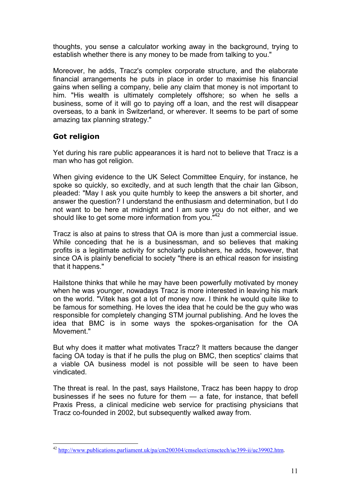thoughts, you sense a calculator working away in the background, trying to establish whether there is any money to be made from talking to you."

Moreover, he adds, Tracz's complex corporate structure, and the elaborate financial arrangements he puts in place in order to maximise his financial gains when selling a company, belie any claim that money is not important to him. "His wealth is ultimately completely offshore; so when he sells a business, some of it will go to paying off a loan, and the rest will disappear overseas, to a bank in Switzerland, or wherever. It seems to be part of some amazing tax planning strategy."

## **Got religion**

 $\overline{a}$ 

Yet during his rare public appearances it is hard not to believe that Tracz is a man who has got religion.

When giving evidence to the UK Select Committee Enquiry, for instance, he spoke so quickly, so excitedly, and at such length that the chair Ian Gibson, pleaded: "May I ask you quite humbly to keep the answers a bit shorter, and answer the question? I understand the enthusiasm and determination, but I do not want to be here at midnight and I am sure you do not either, and we should like to get some more information from you.<sup>"[42](#page-10-0)</sup>

Tracz is also at pains to stress that OA is more than just a commercial issue. While conceding that he is a businessman, and so believes that making profits is a legitimate activity for scholarly publishers, he adds, however, that since OA is plainly beneficial to society "there is an ethical reason for insisting that it happens."

Hailstone thinks that while he may have been powerfully motivated by money when he was younger, nowadays Tracz is more interested in leaving his mark on the world. "Vitek has got a lot of money now. I think he would quite like to be famous for something. He loves the idea that he could be the guy who was responsible for completely changing STM journal publishing. And he loves the idea that BMC is in some ways the spokes-organisation for the OA Movement."

But why does it matter what motivates Tracz? It matters because the danger facing OA today is that if he pulls the plug on BMC, then sceptics' claims that a viable OA business model is not possible will be seen to have been vindicated.

The threat is real. In the past, says Hailstone, Tracz has been happy to drop businesses if he sees no future for them — a fate, for instance, that befell Praxis Press, a clinical medicine web service for practising physicians that Tracz co-founded in 2002, but subsequently walked away from.

<span id="page-10-0"></span> $42 \frac{\text{http://www.publications.parliament.uk/pa/cm200304/cmselect/cmsetech/uc399-ii/uc39902.htm}}{200 \frac{\text{http://www.publications.parliament.uk/pa/cm200304/cmselect/cmsetech/uc399-ii/uc39902.htm}}{200 \frac{\text{http://www.publications.parliament.uk/pa/cm200304/cmsetech/msetech/uc399-ii/uc39902.htm}}{200 \frac{\text{http://www.publications.parliament.uk/pa/cm200304/cmsetech/msetech/msetech/mset}{200 \frac{\text{http://www.pulbincat.com/msetech/msetech/msetech/msetech/m$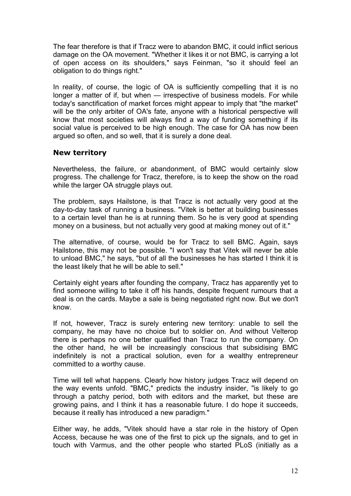The fear therefore is that if Tracz were to abandon BMC, it could inflict serious damage on the OA movement. "Whether it likes it or not BMC, is carrying a lot of open access on its shoulders," says Feinman, "so it should feel an obligation to do things right."

In reality, of course, the logic of OA is sufficiently compelling that it is no longer a matter of if, but when — irrespective of business models. For while today's sanctification of market forces might appear to imply that "the market" will be the only arbiter of OA's fate, anyone with a historical perspective will know that most societies will always find a way of funding something if its social value is perceived to be high enough. The case for OA has now been argued so often, and so well, that it is surely a done deal.

## **New territory**

Nevertheless, the failure, or abandonment, of BMC would certainly slow progress. The challenge for Tracz, therefore, is to keep the show on the road while the larger OA struggle plays out.

The problem, says Hailstone, is that Tracz is not actually very good at the day-to-day task of running a business. "Vitek is better at building businesses to a certain level than he is at running them. So he is very good at spending money on a business, but not actually very good at making money out of it."

The alternative, of course, would be for Tracz to sell BMC. Again, says Hailstone, this may not be possible. "I won't say that Vitek will never be able to unload BMC," he says, "but of all the businesses he has started I think it is the least likely that he will be able to sell."

Certainly eight years after founding the company, Tracz has apparently yet to find someone willing to take it off his hands, despite frequent rumours that a deal is on the cards. Maybe a sale is being negotiated right now. But we don't know.

If not, however, Tracz is surely entering new territory: unable to sell the company, he may have no choice but to soldier on. And without Velterop there is perhaps no one better qualified than Tracz to run the company. On the other hand, he will be increasingly conscious that subsidising BMC indefinitely is not a practical solution, even for a wealthy entrepreneur committed to a worthy cause.

Time will tell what happens. Clearly how history judges Tracz will depend on the way events unfold. "BMC," predicts the industry insider, "is likely to go through a patchy period, both with editors and the market, but these are growing pains, and I think it has a reasonable future. I do hope it succeeds, because it really has introduced a new paradigm."

Either way, he adds, "Vitek should have a star role in the history of Open Access, because he was one of the first to pick up the signals, and to get in touch with Varmus, and the other people who started PLoS (initially as a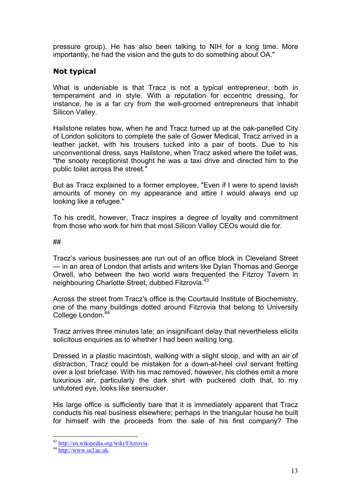pressure group). He has also been talking to NIH for a long time. More importantly, he had the vision and the guts to do something about OA."

## **Not typical**

What is undeniable is that Tracz is not a typical entrepreneur, both in temperament and in style. With a reputation for eccentric dressing, for instance, he is a far cry from the well-groomed entrepreneurs that inhabit Silicon Valley.

Hailstone relates how, when he and Tracz turned up at the oak-panelled City of London solicitors to complete the sale of Gower Medical, Tracz arrived in a leather jacket, with his trousers tucked into a pair of boots. Due to his unconventional dress, says Hailstone, when Tracz asked where the toilet was, "the snooty receptionist thought he was a taxi drive and directed him to the public toilet across the street."

But as Tracz explained to a former employee, "Even if I were to spend lavish amounts of money on my appearance and attire I would always end up looking like a refugee."

To his credit, however, Tracz inspires a degree of loyalty and commitment from those who work for him that most Silicon Valley CEOs would die for.

#### ##

Tracz's various businesses are run out of an office block in Cleveland Street — in an area of London that artists and writers like Dylan Thomas and George Orwell, who between the two world wars frequented the Fitzroy Tavern in neighbouring Charlotte Street, dubbed Fitzrovia.<sup>[43](#page-12-0)</sup>

Across the street from Tracz's office is the Courtauld Institute of Biochemistry, one of the many buildings dotted around Fitzrovia that belong to University College London.<sup>44</sup>

Tracz arrives three minutes late; an insignificant delay that nevertheless elicits solicitous enquiries as to whether I had been waiting long.

Dressed in a plastic macintosh, walking with a slight stoop, and with an air of distraction, Tracz could be mistaken for a down-at-heel civil servant fretting over a lost briefcase. With his mac removed, however, his clothes emit a more luxurious air, particularly the dark shirt with puckered cloth that, to my untutored eye, looks like seersucker.

His large office is sufficiently bare that it is immediately apparent that Tracz conducts his real business elsewhere; perhaps in the triangular house he built for himself with the proceeds from the sale of his first company? The

<span id="page-12-0"></span><sup>&</sup>lt;sup>43</sup> [http://en.wikipedia.org/wiki/Fitzrovia.](http://en.wikipedia.org/wiki/Fitzrovia)<br><sup>44</sup> <http://www.ucl.ac.uk>.

<span id="page-12-1"></span>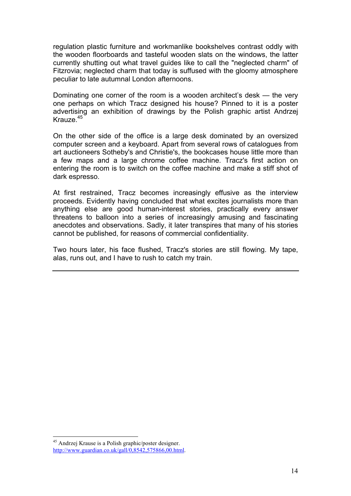regulation plastic furniture and workmanlike bookshelves contrast oddly with the wooden floorboards and tasteful wooden slats on the windows, the latter currently shutting out what travel guides like to call the "neglected charm" of Fitzrovia; neglected charm that today is suffused with the gloomy atmosphere peculiar to late autumnal London afternoons.

Dominating one corner of the room is a wooden architect's desk — the very one perhaps on which Tracz designed his house? Pinned to it is a poster advertising an exhibition of drawings by the Polish graphic artist Andrzej Krauze $45$ 

On the other side of the office is a large desk dominated by an oversized computer screen and a keyboard. Apart from several rows of catalogues from art auctioneers Sotheby's and Christie's, the bookcases house little more than a few maps and a large chrome coffee machine. Tracz's first action on entering the room is to switch on the coffee machine and make a stiff shot of dark espresso.

At first restrained, Tracz becomes increasingly effusive as the interview proceeds. Evidently having concluded that what excites journalists more than anything else are good human-interest stories, practically every answer threatens to balloon into a series of increasingly amusing and fascinating anecdotes and observations. Sadly, it later transpires that many of his stories cannot be published, for reasons of commercial confidentiality.

Two hours later, his face flushed, Tracz's stories are still flowing. My tape, alas, runs out, and I have to rush to catch my train.

<span id="page-13-0"></span> $\overline{a}$ 45 Andrzej Krause is a Polish graphic/poster designer. <http://www.guardian.co.uk/gall/0,8542,575866,00.html>.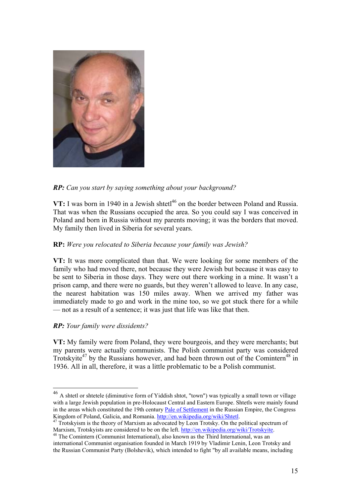<span id="page-14-2"></span>

#### *RP: Can you start by saying something about your background?*

VT: I was born in 1940 in a Jewish shtetl<sup>46</sup> on the border between Poland and Russia. That was when the Russians occupied the area. So you could say I was conceived in Poland and born in Russia without my parents moving; it was the borders that moved. My family then lived in Siberia for several years.

#### **RP:** *Were you relocated to Siberia because your family was Jewish?*

**VT:** It was more complicated than that. We were looking for some members of the family who had moved there, not because they were Jewish but because it was easy to be sent to Siberia in those days. They were out there working in a mine. It wasn't a prison camp, and there were no guards, but they weren't allowed to leave. In any case, the nearest habitation was 150 miles away. When we arrived my father was immediately made to go and work in the mine too, so we got stuck there for a while — not as a result of a sentence; it was just that life was like that then.

#### *RP: Your family were dissidents?*

 $\overline{a}$ 

**VT:** My family were from Poland, they were bourgeois, and they were merchants; but my parents were actually communists. The Polish communist party was considered Trotskyite<sup>47</sup> by the Russians however, and had been thrown out of the Comintern<sup>48</sup> in 1936. All in all, therefore, it was a little problematic to be a Polish communist.

<span id="page-14-0"></span> $^{46}$  A shtetl or shtetele (diminutive form of Yiddish shtot, "town") was typically a small town or village with a large Jewish population in pre-Holocaust Central and Eastern Europe. Shtetls were mainly found in the areas which constituted the 19th century [Pale of Settlement](http://en.wikipedia.org/wiki/Pale_of_settlement) in the Russian Empire, the Congress Kingdom of Poland, Galicia, and Romania. http://en.wikipedia.org/wiki/Shtetl.

<span id="page-14-1"></span> $47$  Trotskyism is the theory of Marxism as advocated by Leon Trotsky. On the political spectrum of Marxism, Trotskyists are considered to be on the left. [http://en.wikipedia.org/wiki/Trotskyite.](http://en.wikipedia.org/wiki/Trotskyite) <sup>48</sup> The Comintern (Communist International), also known as the Third International, was an

international Communist organisation founded in March 1919 by Vladimir Lenin, Leon Trotsky and the Russian Communist Party (Bolshevik), which intended to fight "by all available means, including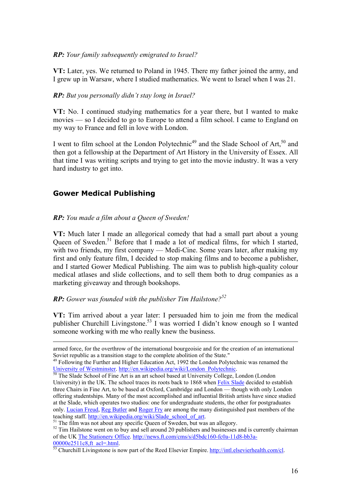#### *RP: Your family subsequently emigrated to Israel?*

**VT:** Later, yes. We returned to Poland in 1945. There my father joined the army, and I grew up in Warsaw, where I studied mathematics. We went to Israel when I was 21.

#### *RP: But you personally didn't stay long in Israel?*

**VT:** No. I continued studying mathematics for a year there, but I wanted to make movies — so I decided to go to Europe to attend a film school. I came to England on my way to France and fell in love with London.

I went to film school at the London Polytechnic<sup>49</sup> and the Slade School of Art,  $50$  and then got a fellowship at the Department of Art History in the University of Essex. All that time I was writing scripts and trying to get into the movie industry. It was a very hard industry to get into.

#### **Gower Medical Publishing**

#### *RP: You made a film about a Queen of Sweden!*

**VT:** Much later I made an allegorical comedy that had a small part about a young Queen of Sweden.<sup>51</sup> Before that I made a lot of medical films, for which I started, with two friends, my first company — Medi-Cine. Some years later, after making my first and only feature film, I decided to stop making films and to become a publisher, and I started Gower Medical Publishing. The aim was to publish high-quality colour medical atlases and slide collections, and to sell them both to drug companies as a marketing giveaway and through bookshops.

#### *RP: Gower was founded with the publisher Tim Hailstone?[52](#page-15-3)*

**VT:** Tim arrived about a year later: I persuaded him to join me from the medical publisher Churchill Livingstone[.53](#page-15-4) I was worried I didn't know enough so I wanted someone working with me who really knew the business.

armed force, for the overthrow of the international bourgeoisie and for the creation of an international Soviet republic as a transition stage to the complete abolition of the State."<br><sup>49</sup> Following the Further and Higher Education Act, 1992 the London Polytechnic was renamed the

<span id="page-15-0"></span>[University of Westminster](http://www.wmin.ac.uk/page-0). [http://en.wikipedia.org/wiki/London\\_Polytechnic.](http://en.wikipedia.org/wiki/London_Polytechnic)  $\frac{50}{50}$  $\frac{50}{50}$  $\frac{50}{50}$  The Slade School of Fine Art is an art school based at University College, London (London

<span id="page-15-1"></span>University) in the UK. The school traces its roots back to 1868 when [Felix Slade](http://en.wikipedia.org/wiki/Felix_Slade) decided to establish three Chairs in Fine Art, to be based at Oxford, Cambridge and London — though with only London offering studentships. Many of the most accomplished and influential British artists have since studied at the Slade, which operates two studios: one for undergraduate students, the other for postgraduates only. [Lucian Freud,](http://en.wikipedia.org/wiki/Lucian_Freud) [Reg Butler](http://en.wikipedia.org/wiki/Reg_Butler) and [Roger Fry](http://en.wikipedia.org/wiki/Roger_Fry) are among the many distinguished past members of the teaching staff. http://en.wikipedia.org/wiki/Slade school of art.

<span id="page-15-3"></span><span id="page-15-2"></span>

 $51$  The film was not about any specific Queen of Sweden, but was an allegory.<br> $52$  Tim Hailstone went on to buy and sell around 20 publishers and businesses and is currently chairman of the UK [The Stationery Office](http://www.tso.co.uk/). http://news.ft.com/cms/s/d5bdc160-fc0a-11d8-bb3a-00000e2511c8 ft acl= html

<span id="page-15-4"></span> $\frac{53}{100}$  $\frac{53}{100}$  $\frac{53}{100}$ Churchill Livingstone is now part of the Reed Elsevier Empire. [http://intl.elsevierhealth.com/cl.](http://intl.elsevierhealth.com/cl)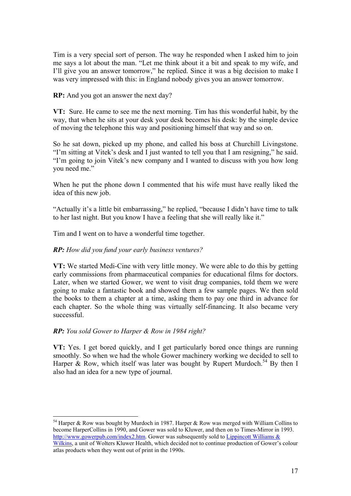Tim is a very special sort of person. The way he responded when I asked him to join me says a lot about the man. "Let me think about it a bit and speak to my wife, and I'll give you an answer tomorrow," he replied. Since it was a big decision to make I was very impressed with this: in England nobody gives you an answer tomorrow.

**RP:** And you got an answer the next day?

**VT:** Sure. He came to see me the next morning. Tim has this wonderful habit, by the way, that when he sits at your desk your desk becomes his desk: by the simple device of moving the telephone this way and positioning himself that way and so on.

So he sat down, picked up my phone, and called his boss at Churchill Livingstone. "I'm sitting at Vitek's desk and I just wanted to tell you that I am resigning," he said. "I'm going to join Vitek's new company and I wanted to discuss with you how long you need me."

When he put the phone down I commented that his wife must have really liked the idea of this new job.

"Actually it's a little bit embarrassing," he replied, "because I didn't have time to talk to her last night. But you know I have a feeling that she will really like it."

Tim and I went on to have a wonderful time together.

#### *RP: How did you fund your early business ventures?*

**VT:** We started Medi-Cine with very little money. We were able to do this by getting early commissions from pharmaceutical companies for educational films for doctors. Later, when we started Gower, we went to visit drug companies, told them we were going to make a fantastic book and showed them a few sample pages. We then sold the books to them a chapter at a time, asking them to pay one third in advance for each chapter. So the whole thing was virtually self-financing. It also became very successful.

#### *RP: You sold Gower to Harper & Row in 1984 right?*

 $\overline{a}$ 

**VT:** Yes. I get bored quickly, and I get particularly bored once things are running smoothly. So when we had the whole Gower machinery working we decided to sell to Harper & Row, which itself was later was bought by Rupert Murdoch.<sup>54</sup> By then I also had an idea for a new type of journal.

<span id="page-16-0"></span><sup>&</sup>lt;sup>54</sup> Harper & Row was bought by Murdoch in 1987. Harper & Row was merged with William Collins to become HarperCollins in 1990, and Gower was sold to Kluwer, and then on to Times-Mirror in 1993. <http://www.gowerpub.com/index2.htm>. Gower was subsequently sold to Lippincott Williams & [Wilkins,](http://www.lww.com/) a unit of Wolters Kluwer Health, which decided not to continue production of Gower's colour atlas products when they went out of print in the 1990s.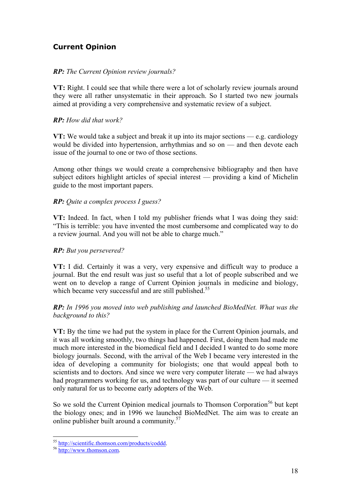## **Current Opinion**

#### *RP: The Current Opinion review journals?*

**VT:** Right. I could see that while there were a lot of scholarly review journals around they were all rather unsystematic in their approach. So I started two new journals aimed at providing a very comprehensive and systematic review of a subject.

#### *RP: How did that work?*

**VT:** We would take a subject and break it up into its major sections — e.g. cardiology would be divided into hypertension, arrhythmias and so on — and then devote each issue of the journal to one or two of those sections.

Among other things we would create a comprehensive bibliography and then have subject editors highlight articles of special interest — providing a kind of Michelin guide to the most important papers.

#### *RP: Quite a complex process I guess?*

**VT:** Indeed. In fact, when I told my publisher friends what I was doing they said: "This is terrible: you have invented the most cumbersome and complicated way to do a review journal. And you will not be able to charge much."

#### *RP: But you persevered?*

**VT:** I did. Certainly it was a very, very expensive and difficult way to produce a journal. But the end result was just so useful that a lot of people subscribed and we went on to develop a range of Current Opinion journals in medicine and biology, which became very successful and are still published.<sup>55</sup>

#### *RP: In 1996 you moved into web publishing and launched BioMedNet. What was the background to this?*

**VT:** By the time we had put the system in place for the Current Opinion journals, and it was all working smoothly, two things had happened. First, doing them had made me much more interested in the biomedical field and I decided I wanted to do some more biology journals. Second, with the arrival of the Web I became very interested in the idea of developing a community for biologists; one that would appeal both to scientists and to doctors. And since we were very computer literate — we had always had programmers working for us, and technology was part of our culture — it seemed only natural for us to become early adopters of the Web.

<span id="page-17-2"></span>So we sold the Current Opinion medical journals to Thomson Corporation<sup>56</sup> but kept the biology ones; and in 1996 we launched BioMedNet. The aim was to create an online publisher built around a community.<sup>57</sup>

<span id="page-17-0"></span><sup>&</sup>lt;sup>55</sup> [http://scientific.thomson.com/products/coddd.](http://scientific.thomson.com/products/coddd)<br><sup>56</sup> [http://www.thomson.com.](http://www.thomson.com/)

<span id="page-17-1"></span>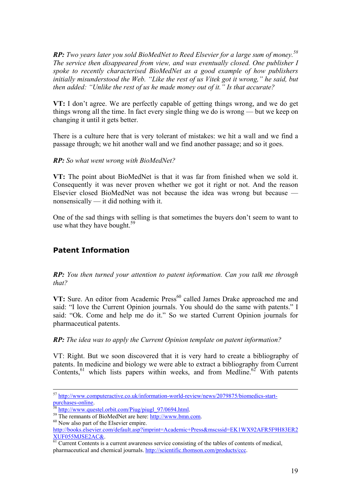*RP: Two years later you sold BioMedNet to Reed Elsevier for a large sum of money.[58](#page-18-0) The service then disappeared from view, and was eventually closed. One publisher I spoke to recently characterised BioMedNet as a good example of how publishers initially misunderstood the Web. "Like the rest of us Vitek got it wrong," he said, but then added: "Unlike the rest of us he made money out of it." Is that accurate?* 

**VT:** I don't agree. We are perfectly capable of getting things wrong, and we do get things wrong all the time. In fact every single thing we do is wrong — but we keep on changing it until it gets better.

There is a culture here that is very tolerant of mistakes: we hit a wall and we find a passage through; we hit another wall and we find another passage; and so it goes.

*RP: So what went wrong with BioMedNet?* 

**VT:** The point about BioMedNet is that it was far from finished when we sold it. Consequently it was never proven whether we got it right or not. And the reason Elsevier closed BioMedNet was not because the idea was wrong but because nonsensically — it did nothing with it.

One of the sad things with selling is that sometimes the buyers don't seem to want to use what they have bought.<sup>59</sup>

## **Patent Information**

*RP: You then turned your attention to patent information. Can you talk me through that?* 

**VT:** Sure. An editor from Academic Press<sup>60</sup> called James Drake approached me and said: "I love the Current Opinion journals. You should do the same with patents." I said: "Ok. Come and help me do it." So we started Current Opinion journals for pharmaceutical patents.

*RP: The idea was to apply the Current Opinion template on patent information?* 

VT: Right. But we soon discovered that it is very hard to create a bibliography of patents. In medicine and biology we were able to extract a bibliography from Current Contents, <sup>61</sup> which lists papers within weeks, and from Medline.<sup>62</sup> With patents

<sup>&</sup>lt;sup>57</sup> http://www.computeractive.co.uk/information-world-review/news/2079875/biomedics-start-<br>purchases-online.

<span id="page-18-1"></span><span id="page-18-0"></span>

<span id="page-18-4"></span> $\frac{58 \text{ http://www.guestel.orbit.com/Piug/piugl}97/0694.html}{59}$  $\frac{58 \text{ http://www.guestel.orbit.com/Piug/piugl}97/0694.html}{59}$  $\frac{58 \text{ http://www.guestel.orbit.com/Piug/piugl}97/0694.html}{59}$  The remnants of BioMedNet are here: http://www.bmn.com[.](http://www.bmn.com/) 60 Now also part of the Elsevier empire.

<span id="page-18-2"></span>

[http://books.elsevier.com/default.asp?imprint=Academic+Press&mscssid=EK1WX92AFR5F9H83ER2](http://books.elsevier.com/default.asp?imprint=Academic+Press&mscssid=EK1WX92AFR5F9H83ER2XUF055MJSE2AC&) [XUF055MJSE2AC&](http://books.elsevier.com/default.asp?imprint=Academic+Press&mscssid=EK1WX92AFR5F9H83ER2XUF055MJSE2AC&).<br>
<sup>61</sup> Current Contents is a current awareness service consisting of the tables of contents of medical,

<span id="page-18-3"></span>pharmaceutical and chemical journals. <http://scientific.thomson.com/products/ccc>.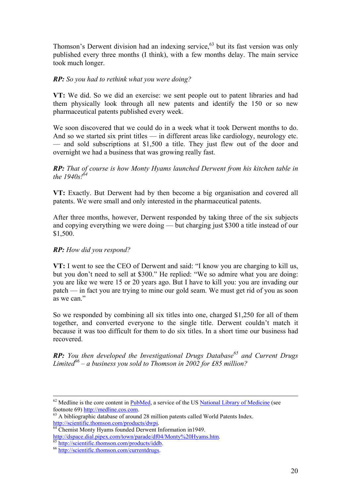Thomson's Derwent division had an indexing service,<sup>63</sup> but its fast version was only published every three months (I think), with a few months delay. The main service took much longer.

#### *RP: So you had to rethink what you were doing?*

**VT:** We did. So we did an exercise: we sent people out to patent libraries and had them physically look through all new patents and identify the 150 or so new pharmaceutical patents published every week.

We soon discovered that we could do in a week what it took Derwent months to do. And so we started six print titles — in different areas like cardiology, neurology etc. — and sold subscriptions at \$1,500 a title. They just flew out of the door and overnight we had a business that was growing really fast.

#### *RP: That of course is how Monty Hyams launched Derwent from his kitchen table in the*  $1940s^{64}$  $1940s^{64}$  $1940s^{64}$

**VT:** Exactly. But Derwent had by then become a big organisation and covered all patents. We were small and only interested in the pharmaceutical patents.

After three months, however, Derwent responded by taking three of the six subjects and copying everything we were doing — but charging just \$300 a title instead of our \$1,500.

#### *RP: How did you respond?*

**VT:** I went to see the CEO of Derwent and said: "I know you are charging to kill us, but you don't need to sell at \$300." He replied: "We so admire what you are doing: you are like we were 15 or 20 years ago. But I have to kill you: you are invading our patch — in fact you are trying to mine our gold seam. We must get rid of you as soon as we can."

So we responded by combining all six titles into one, charged \$1,250 for all of them together, and converted everyone to the single title. Derwent couldn't match it because it was too difficult for them to do six titles. In a short time our business had recovered.

*RP: You then developed the Investigational Drugs Database[65](#page-19-2) and Current Drugs Limited[66 –](#page-19-3) a business you sold to Thomson in 2002 for £85 million?* 

 $62$  Medline is the core content in [PubMed](http://www.ncbi.nlm.nih.gov/entrez/query.fcgi?DB=pubmed), a service of the US [National Library of Medicine](http://www.nlm.nih.gov/) (see

<span id="page-19-0"></span>footnote 69) [http://medline.cos.com.](http://medline.cos.com/)<br><sup>63</sup> A bibliographic database of around 28 million patents called World Patents Index.<br>http://scientific.thomson.com/products/dwpi.

<span id="page-19-1"></span> $\frac{1}{64}$  $\frac{1}{64}$  $\frac{1}{64}$  Chemist Monty Hyams founded Derwent Information in1949. [http://dspace.dial.pipex.com/town/parade/df04/Monty%20Hyams.htm.](http://dspace.dial.pipex.com/town/parade/df04/Monty Hyams.htm) [65](http://dspace.dial.pipex.com/town/parade/df04/Monty Hyams.htm) <http://scientific.thomson.com/products/iddb>. 66 [http://scientific.thomson.com/currentdrugs.](http://scientific.thomson.com/currentdrugs)

<span id="page-19-3"></span><span id="page-19-2"></span>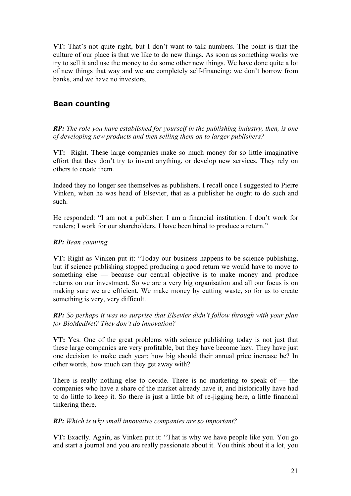**VT:** That's not quite right, but I don't want to talk numbers. The point is that the culture of our place is that we like to do new things. As soon as something works we try to sell it and use the money to do some other new things. We have done quite a lot of new things that way and we are completely self-financing: we don't borrow from banks, and we have no investors.

## **Bean counting**

*RP: The role you have established for yourself in the publishing industry, then, is one of developing new products and then selling them on to larger publishers?* 

**VT:** Right. These large companies make so much money for so little imaginative effort that they don't try to invent anything, or develop new services. They rely on others to create them.

Indeed they no longer see themselves as publishers. I recall once I suggested to Pierre Vinken, when he was head of Elsevier, that as a publisher he ought to do such and such.

He responded: "I am not a publisher: I am a financial institution. I don't work for readers; I work for our shareholders. I have been hired to produce a return."

#### *RP: Bean counting.*

**VT:** Right as Vinken put it: "Today our business happens to be science publishing, but if science publishing stopped producing a good return we would have to move to something else — because our central objective is to make money and produce returns on our investment. So we are a very big organisation and all our focus is on making sure we are efficient. We make money by cutting waste, so for us to create something is very, very difficult.

#### *RP: So perhaps it was no surprise that Elsevier didn't follow through with your plan for BioMedNet? They don't do innovation?*

**VT:** Yes. One of the great problems with science publishing today is not just that these large companies are very profitable, but they have become lazy. They have just one decision to make each year: how big should their annual price increase be? In other words, how much can they get away with?

There is really nothing else to decide. There is no marketing to speak of  $-$  the companies who have a share of the market already have it, and historically have had to do little to keep it. So there is just a little bit of re-jigging here, a little financial tinkering there.

#### *RP: Which is why small innovative companies are so important?*

**VT:** Exactly. Again, as Vinken put it: "That is why we have people like you. You go and start a journal and you are really passionate about it. You think about it a lot, you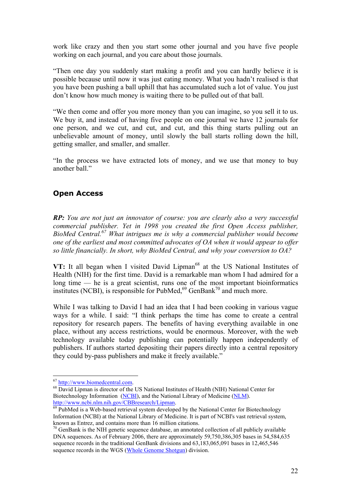work like crazy and then you start some other journal and you have five people working on each journal, and you care about those journals.

"Then one day you suddenly start making a profit and you can hardly believe it is possible because until now it was just eating money. What you hadn't realised is that you have been pushing a ball uphill that has accumulated such a lot of value. You just don't know how much money is waiting there to be pulled out of that ball.

"We then come and offer you more money than you can imagine, so you sell it to us. We buy it, and instead of having five people on one journal we have 12 journals for one person, and we cut, and cut, and cut, and this thing starts pulling out an unbelievable amount of money, until slowly the ball starts rolling down the hill, getting smaller, and smaller, and smaller.

"In the process we have extracted lots of money, and we use that money to buy another ball."

## **Open Access**

*RP: You are not just an innovator of course: you are clearly also a very successful commercial publisher. Yet in 1998 you created the first Open Access publisher, BioMed Central.[67](#page-21-0) What intrigues me is why a commercial publisher would become one of the earliest and most committed advocates of OA when it would appear to offer so little financially. In short, why BioMed Central, and why your conversion to OA?* 

VT: It all began when I visited David Lipman<sup>68</sup> at the US National Institutes of Health (NIH) for the first time. David is a remarkable man whom I had admired for a long time — he is a great scientist, runs one of the most important bioinformatics institutes (NCBI), is responsible for PubMed, $69$  GenBank $70$  and much more.

While I was talking to David I had an idea that I had been cooking in various vague ways for a while. I said: "I think perhaps the time has come to create a central repository for research papers. The benefits of having everything available in one place, without any access restrictions, would be enormous. Moreover, with the web technology available today publishing can potentially happen independently of publishers. If authors started depositing their papers directly into a central repository they could by-pass publishers and make it freely available."

<span id="page-21-0"></span> $67$  http://www.biomedcentral.com.

<span id="page-21-1"></span><sup>&</sup>lt;sup>68</sup> David Lipman is director of the US National Institutes of Health (NIH) National Center for Biotechnology Information ([NCBI\)](http://www.ncbi.nih.gov/), and the National Library of Medicine [\(NLM](http://www.nlm.nih.gov/)).<br>http://www.ncbi.nlm.nih.gov/CBBresearch/Lipman.

<span id="page-21-2"></span> $\frac{69}{69}$  $\frac{69}{69}$  $\frac{69}{69}$  PubMed is a Web-based retrieval system developed by the National Center for Biotechnology Information (NCBI) at the National Library of Medicine. It is part of NCBI's vast retrieval system,

<span id="page-21-3"></span> $k<sup>70</sup>$  GenBank is the NIH genetic sequence database, an annotated collection of all publicly available DNA sequences. As of February 2006, there are approximately 59,750,386,305 bases in 54,584,635 sequence records in the traditional GenBank divisions and 63,183,065,091 bases in 12,465,546 sequence records in the WGS ([Whole Genome Shotgun](http://en.wikipedia.org/wiki/Whole_genome_shotgun_sequencing)) division.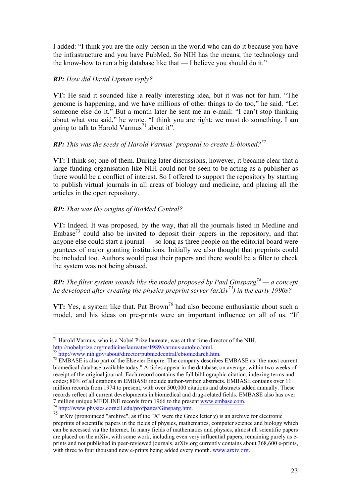I added: "I think you are the only person in the world who can do it because you have the infrastructure and you have PubMed. So NIH has the means, the technology and the know-how to run a big database like that — I believe you should do it."

#### *RP: How did David Lipman reply?*

**VT:** He said it sounded like a really interesting idea, but it was not for him. "The genome is happening, and we have millions of other things to do too," he said. "Let someone else do it." But a month later he sent me an e-mail: "I can't stop thinking about what you said," he wrote. "I think you are right: we must do something. I am going to talk to Harold Varmus<sup>71</sup> about it".

#### *RP: This was the seeds of Harold Varmus' proposal to create E-biomed?[72](#page-22-1)*

**VT:** I think so; one of them. During later discussions, however, it became clear that a large funding organisation like NIH could not be seen to be acting as a publisher as there would be a conflict of interest. So I offered to support the repository by starting to publish virtual journals in all areas of biology and medicine, and placing all the articles in the open repository.

#### *RP: That was the origins of BioMed Central?*

**VT:** Indeed. It was proposed, by the way, that all the journals listed in Medline and Embase<sup>73</sup> could also be invited to deposit their papers in the repository, and that anyone else could start a journal — so long as three people on the editorial board were grantees of major granting institutions. Initially we also thought that preprints could be included too. Authors would post their papers and there would be a filter to check the system was not being abused.

*RP: The filter system sounds like the model proposed by Paul Ginsparg*<sup>74</sup> — a concept *he developed after creating the physics preprint server (arXi[v75\)](#page-22-4) in the early 1990s?* 

**VT:** Yes, a system like that. Pat Brown<sup>76</sup> had also become enthusiastic about such a model, and his ideas on pre-prints were an important influence on all of us. "If

<span id="page-22-0"></span> $71$  Harold Varmus, who is a Nobel Prize laureate, was at that time director of the NIH. <http://nobelprize.org/medicine/laureates/1989/varmus-autobio.html><br> $\frac{1}{72}$  $\frac{1}{72}$  $\frac{1}{72}$  http://www.nih.gov/about/director/pubmedcentral/ebiomedarch.html<br> $\frac{1}{72}$  EMBASE is also part of the Elsevier Empire. The company describes EM

<span id="page-22-1"></span>

<span id="page-22-5"></span><span id="page-22-2"></span>biomedical database available today." Articles appear in the database, on average, within two weeks of receipt of the original journal. Each record contains the full bibliographic citation, indexing terms and codes; 80% of all citations in EMBASE include author-written abstracts. EMBASE contains over 11 million records from 1974 to present, with over 500,000 citations and abstracts added annually. These records reflect all current developments in biomedical and drug-related fields. EMBASE also has over 7 million unique MEDLINE records from 1966 to the present <u>www.embase.com</u>.<br><sup>74</sup> [http://www.physics.cornell.edu/profpages/Ginsparg.htm.](http://www.physics.cornell.edu/profpages/Ginsparg.htm)<br><sup>75</sup> arXiv (pronounced "archive", as if the "X" were the Greek letter χ) is an archi

<span id="page-22-4"></span><span id="page-22-3"></span>preprints of scientific papers in the fields of physics, mathematics, computer science and biology which can be accessed via the Internet. In many fields of mathematics and physics, almost all scientific papers are placed on the arXiv, with some work, including even very influential papers, remaining purely as eprints and not published in peer-reviewed journals. arXiv.org currently contains about 368,600 e-prints, with three to four thousand new e-prints being added every month. [www.arxiv.org](http://www.arxiv.org/).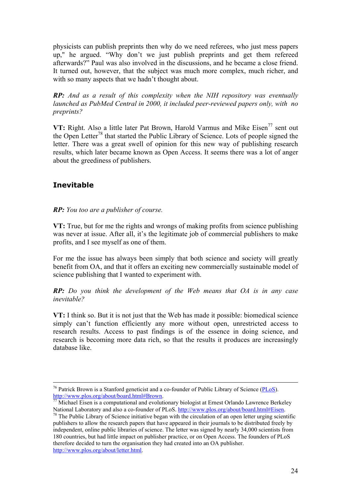physicists can publish preprints then why do we need referees, who just mess papers up," he argued. "Why don't we just publish preprints and get them refereed afterwards?" Paul was also involved in the discussions, and he became a close friend. It turned out, however, that the subject was much more complex, much richer, and with so many aspects that we hadn't thought about.

*RP: And as a result of this complexity when the NIH repository was eventually launched as PubMed Central in 2000, it included peer-reviewed papers only, with no preprints?* 

VT: Right. Also a little later Pat Brown, Harold Varmus and Mike Eisen<sup>77</sup> sent out the Open Letter<sup>78</sup> that started the Public Library of Science. Lots of people signed the letter. There was a great swell of opinion for this new way of publishing research results, which later became known as Open Access. It seems there was a lot of anger about the greediness of publishers.

## **Inevitable**

#### *RP: You too are a publisher of course.*

**VT:** True, but for me the rights and wrongs of making profits from science publishing was never at issue. After all, it's the legitimate job of commercial publishers to make profits, and I see myself as one of them.

For me the issue has always been simply that both science and society will greatly benefit from OA, and that it offers an exciting new commercially sustainable model of science publishing that I wanted to experiment with.

*RP: Do you think the development of the Web means that OA is in any case inevitable?* 

**VT:** I think so. But it is not just that the Web has made it possible: biomedical science simply can't function efficiently any more without open, unrestricted access to research results. Access to past findings is of the essence in doing science, and research is becoming more data rich, so that the results it produces are increasingly database like.

<sup>&</sup>lt;sup>76</sup> Patrick Brown is a Stanford geneticist and a co-founder of Public Library of Science [\(PLoS\)](http://www.plos.org/).<br>http://www.plos.org/about/board.html#Brown.

<span id="page-23-0"></span> $\frac{77}{71}$  Michael Eisen is a computational and evolutionary biologist at Ernest Orlando Lawrence Berkeley<br>National Laboratory and also a co-founder of PLoS. http://www.plos.org/about/board.html#Eisen.

<span id="page-23-1"></span> $\frac{78}{18}$  The Public Library of Science initiative began with the circulation of an open letter urging scientific publishers to allow the research papers that have appeared in their journals to be distributed freely by independent, online public libraries of science. The letter was signed by nearly 34,000 scientists from 180 countries, but had little impact on publisher practice, or on Open Access. The founders of PLoS therefore decided to turn the organisation they had created into an OA publisher. <http://www.plos.org/about/letter.html>.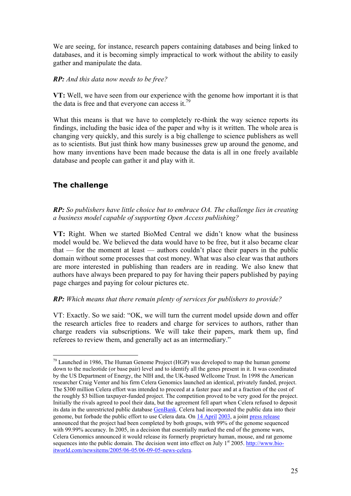We are seeing, for instance, research papers containing databases and being linked to databases, and it is becoming simply impractical to work without the ability to easily gather and manipulate the data.

#### *RP: And this data now needs to be free?*

**VT:** Well, we have seen from our experience with the genome how important it is that the data is free and that everyone can access it.<sup>79</sup>

What this means is that we have to completely re-think the way science reports its findings, including the basic idea of the paper and why is it written. The whole area is changing very quickly, and this surely is a big challenge to science publishers as well as to scientists. But just think how many businesses grew up around the genome, and how many inventions have been made because the data is all in one freely available database and people can gather it and play with it.

## **The challenge**

 $\overline{a}$ 

*RP: So publishers have little choice but to embrace OA. The challenge lies in creating a business model capable of supporting Open Access publishing?* 

**VT:** Right. When we started BioMed Central we didn't know what the business model would be. We believed the data would have to be free, but it also became clear that — for the moment at least — authors couldn't place their papers in the public domain without some processes that cost money. What was also clear was that authors are more interested in publishing than readers are in reading. We also knew that authors have always been prepared to pay for having their papers published by paying page charges and paying for colour pictures etc.

#### *RP: Which means that there remain plenty of services for publishers to provide?*

VT: Exactly. So we said: "OK, we will turn the current model upside down and offer the research articles free to readers and charge for services to authors, rather than charge readers via subscriptions. We will take their papers, mark them up, find referees to review them, and generally act as an intermediary."

<span id="page-24-0"></span> $79$  Launched in 1986, The Human Genome Project (HGP) was developed to map the human genome down to the nucleotide (or base pair) level and to identify all the genes present in it. It was coordinated by the US Department of Energy, the NIH and, the UK-based Wellcome Trust. In 1998 the American researcher Craig Venter and his firm Celera Genomics launched an identical, privately funded, project. The \$300 million Celera effort was intended to proceed at a faster pace and at a fraction of the cost of the roughly \$3 billion taxpayer-funded project. The competition proved to be very good for the project. Initially the rivals agreed to pool their data, but the agreement fell apart when Celera refused to deposit its data in the unrestricted public database [GenBank.](http://en.wikipedia.org/wiki/GenBank) Celera had incorporated the public data into their genome, but forbade the public effort to use Celera data. On [14 April](http://en.wikipedia.org/wiki/April_14) [2003](http://en.wikipedia.org/wiki/2003), a joint [press release](http://www.genoscope.cns.fr/externe/CHODE/English/Actualites/Presse/HGP/HGP_press_release-140403.pdf) announced that the project had been completed by both groups, with 99% of the genome sequenced with 99.99% accuracy. In 2005, in a decision that essentially marked the end of the genome wars. Celera Genomics announced it would release its formerly proprietary human, mouse, and rat genome sequences into the public domain. The decision went into effect on July  $1<sup>st</sup> 2005$ . [http://www.bio](http://www.bio-itworld.com/newsitems/2005/06-05/06-09-05-news-celera)[itworld.com/newsitems/2005/06-05/06-09-05-news-celera.](http://www.bio-itworld.com/newsitems/2005/06-05/06-09-05-news-celera)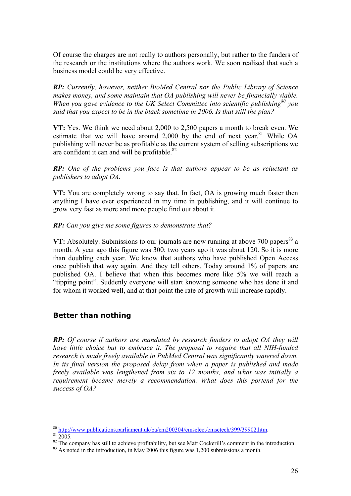Of course the charges are not really to authors personally, but rather to the funders of the research or the institutions where the authors work. We soon realised that such a business model could be very effective.

*RP: Currently, however, neither BioMed Central nor the Public Library of Science makes money, and some maintain that OA publishing will never be financially viable.*  When you gave evidence to the UK Select Committee into scientific publishing<sup>80</sup> you *said that you expect to be in the black sometime in 2006. Is that still the plan?* 

**VT:** Yes. We think we need about 2,000 to 2,500 papers a month to break even. We estimate that we will have around  $2,000$  by the end of next year.<sup>81</sup> While OA publishing will never be as profitable as the current system of selling subscriptions we are confident it can and will be profitable.<sup>82</sup>

*RP: One of the problems you face is that authors appear to be as reluctant as publishers to adopt OA.* 

**VT:** You are completely wrong to say that. In fact, OA is growing much faster then anything I have ever experienced in my time in publishing, and it will continue to grow very fast as more and more people find out about it.

#### *RP: Can you give me some figures to demonstrate that?*

**VT:** Absolutely. Submissions to our journals are now running at above 700 papers<sup>83</sup> a month. A year ago this figure was 300; two years ago it was about 120. So it is more than doubling each year. We know that authors who have published Open Access once publish that way again. And they tell others. Today around 1% of papers are published OA. I believe that when this becomes more like 5% we will reach a "tipping point". Suddenly everyone will start knowing someone who has done it and for whom it worked well, and at that point the rate of growth will increase rapidly.

## **Better than nothing**

*RP: Of course if authors are mandated by research funders to adopt OA they will have little choice but to embrace it. The proposal to require that all NIH-funded research is made freely available in PubMed Central was significantly watered down. In its final version the proposed delay from when a paper is published and made freely available was lengthened from six to 12 months, and what was initially a requirement became merely a recommendation. What does this portend for the success of OA?* 

<span id="page-25-0"></span><sup>&</sup>lt;sup>80</sup> [http://www.publications.parliament.uk/pa/cm200304/cmselect/cmsctech/399/39902.htm.](http://www.publications.parliament.uk/pa/cm200304/cmselect/cmsctech/399/39902.htm)<br><sup>81</sup> 2005.

<span id="page-25-1"></span>

<span id="page-25-2"></span> $\frac{82}{81}$  The company has still to achieve profitability, but see Matt Cockerill's comment in the introduction.  $\frac{83}{83}$  As noted in the introduction, in May 2006 this figure was 1,200 submissions a month.

<span id="page-25-3"></span>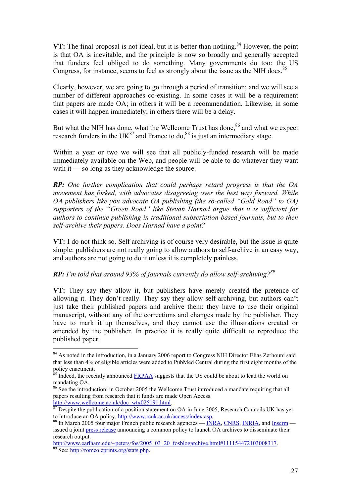**VT:** The final proposal is not ideal, but it is better than nothing.<sup>84</sup> However, the point is that OA is inevitable, and the principle is now so broadly and generally accepted that funders feel obliged to do something. Many governments do too: the US Congress, for instance, seems to feel as strongly about the issue as the NIH does.<sup>[85](#page-26-1)</sup>

Clearly, however, we are going to go through a period of transition; and we will see a number of different approaches co-existing. In some cases it will be a requirement that papers are made OA; in others it will be a recommendation. Likewise, in some cases it will happen immediately; in others there will be a delay.

But what the NIH has done, what the Wellcome Trust has done,<sup>86</sup> and what we expect research funders in the UK $^{87}$  and France to do, $^{88}$  is just an intermediary stage.

Within a year or two we will see that all publicly-funded research will be made immediately available on the Web, and people will be able to do whatever they want with it — so long as they acknowledge the source.

*RP: One further complication that could perhaps retard progress is that the OA movement has forked, with advocates disagreeing over the best way forward. While OA publishers like you advocate OA publishing (the so-called "Gold Road" to OA) supporters of the "Green Road" like Stevan Harnad argue that it is sufficient for authors to continue publishing in traditional subscription-based journals, but to then self-archive their papers. Does Harnad have a point?* 

**VT:** I do not think so. Self archiving is of course very desirable, but the issue is quite simple: publishers are not really going to allow authors to self-archive in an easy way, and authors are not going to do it unless it is completely painless.

#### *RP: I'm told that around 93% of journals currently do allow self-archiving?[89](#page-26-5)*

**VT:** They say they allow it, but publishers have merely created the pretence of allowing it. They don't really. They say they allow self-archiving, but authors can't just take their published papers and archive them: they have to use their original manuscript, without any of the corrections and changes made by the publisher. They have to mark it up themselves, and they cannot use the illustrations created or amended by the publisher. In practice it is really quite difficult to reproduce the published paper.

<span id="page-26-0"></span> $\overline{a}$ <sup>84</sup> As noted in the introduction, in a January 2006 report to Congress NIH Director Elias Zerhouni said that less than 4% of eligible articles were added to PubMed Central during the first eight months of the policy enactment.<br><sup>85</sup> Indeed, the recently announced **FRPAA** suggests that the US could be about to lead the world on

<span id="page-26-1"></span>mandating OA.<br><sup>86</sup> See the introduction: in October 2005 the Wellcome Trust introduced a mandate requiring that all

<span id="page-26-2"></span>papers resulting from research that it funds are made Open Access.<br>http://www.wellcome.ac.uk/doc\_wtx025191.html.

<span id="page-26-3"></span> $\frac{87}{125}$  $\frac{87}{125}$  $\frac{87}{125}$  Despite the publication of a position statement on OA in June 2005, Research Councils UK has yet to introduce an OA policy. http://www.rcuk.ac.uk/access/index.asp.

<span id="page-26-4"></span> $t^{88}$  In March 2005 four major French public research agencies — [INRA](http://www.inra.fr/), [CNRS,](http://www.cnrs.fr/) [INRIA,](http://www.inria.fr/) and [Inserm](http://www.inserm.fr/)  issued a joint [press release](http://w3.inra.fr/presse/vers_un_acces_libre_aux_resultats_de_la_recherche_le_cnrs_l_inserm_l_inra_et_l_inria_creent_des_archives_institutionnelles_pour_les_chercheurs) announcing a common policy to launch OA archives to disseminate their research output.

<span id="page-26-5"></span>[http://www.earlham.edu/~peters/fos/2005\\_03\\_20\\_fosblogarchive.html#111154472103008317.](http://www.earlham.edu/~peters/fos/2005_03_20_fosblogarchive.html)<br><sup>[89](http://www.earlham.edu/~peters/fos/2005_03_20_fosblogarchive.html)</sup> See: <http://romeo.eprints.org/stats.php>.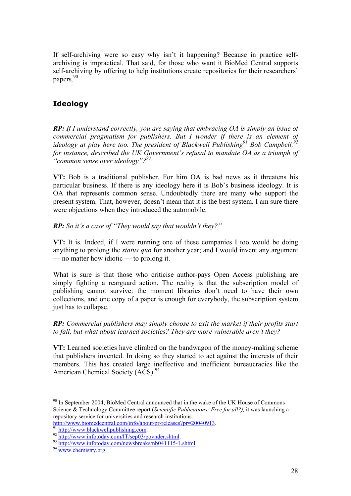If self-archiving were so easy why isn't it happening? Because in practice selfarchiving is impractical. That said, for those who want it BioMed Central supports self-archiving by offering to help institutions create repositories for their researchers' papers.[90](#page-27-0)

## **Ideology**

*RP: If I understand correctly, you are saying that embracing OA is simply an issue of commercial pragmatism for publishers. But I wonder if there is an element of ideology at play here too. The president of Blackwell Publishing*<sup>91</sup> Bob Campbell<sup>5</sup> *for instance, described the UK Government's refusal to mandate OA as a triumph of "common sense over ideology"?[93](#page-27-3)* 

**VT:** Bob is a traditional publisher. For him OA is bad news as it threatens his particular business. If there is any ideology here it is Bob's business ideology. It is OA that represents common sense. Undoubtedly there are many who support the present system. That, however, doesn't mean that it is the best system. I am sure there were objections when they introduced the automobile.

#### *RP: So it's a case of "They would say that wouldn't they?"*

**VT:** It is. Indeed, if I were running one of these companies I too would be doing anything to prolong the *status quo* for another year; and I would invent any argument — no matter how idiotic — to prolong it.

What is sure is that those who criticise author-pays Open Access publishing are simply fighting a rearguard action. The reality is that the subscription model of publishing cannot survive: the moment libraries don't need to have their own collections, and one copy of a paper is enough for everybody, the subscription system just has to collapse.

#### *RP: Commercial publishers may simply choose to exit the market if their profits start to fall, but what about learned societies? They are more vulnerable aren't they?*

**VT:** Learned societies have climbed on the bandwagon of the money-making scheme that publishers invented. In doing so they started to act against the interests of their members. This has created large ineffective and inefficient bureaucracies like the American Chemical Society (ACS).<sup>94</sup>

<span id="page-27-0"></span> $\overline{a}$ <sup>90</sup> In September 2004, BioMed Central announced that in the wake of the UK House of Commons Science & Technology Committee report (*Scientific Publications: Free for all?),* it was launching a repository service for universities and research institutions.

<http://www.biomedcentral.com/info/about/pr-releases?pr=20040913>.<br>
<sup>[91](http://www.biomedcentral.com/info/about/pr-releases?pr=20040913)</sup> [http://www.blackwellpublishing.com](http://www.blackwellpublishing.com/).<br>
<sup>92</sup> <http://www.infotoday.com/IT/sep03/poynder.shtml>.<br>
<sup>93</sup> <http://www.infotoday.com/newsbreaks/nb041115-1.shtml>.<br>

<span id="page-27-1"></span>

<span id="page-27-2"></span>

<span id="page-27-3"></span>

<span id="page-27-4"></span>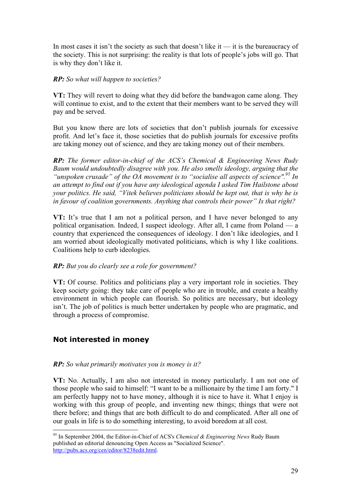In most cases it isn't the society as such that doesn't like it — it is the bureaucracy of the society. This is not surprising: the reality is that lots of people's jobs will go. That is why they don't like it.

#### *RP: So what will happen to societies?*

**VT:** They will revert to doing what they did before the bandwagon came along. They will continue to exist, and to the extent that their members want to be served they will pay and be served.

But you know there are lots of societies that don't publish journals for excessive profit. And let's face it, those societies that do publish journals for excessive profits are taking money out of science, and they are taking money out of their members.

*RP: The former editor-in-chief of the ACS's Chemical & Engineering News Rudy Baum would undoubtedly disagree with you. He also smells ideology, arguing that the "unspoken crusade" of the OA movement is to "socialise all aspects of science".[95](#page-28-0) In an attempt to find out if you have any ideological agenda I asked Tim Hailstone about your politics. He said, "Vitek believes politicians should be kept out, that is why he is in favour of coalition governments. Anything that controls their power" Is that right?* 

**VT:** It's true that I am not a political person, and I have never belonged to any political organisation. Indeed, I suspect ideology. After all, I came from Poland — a country that experienced the consequences of ideology. I don't like ideologies, and I am worried about ideologically motivated politicians, which is why I like coalitions. Coalitions help to curb ideologies.

#### *RP: But you do clearly see a role for government?*

**VT:** Of course. Politics and politicians play a very important role in societies. They keep society going: they take care of people who are in trouble, and create a healthy environment in which people can flourish. So politics are necessary, but ideology isn't. The job of politics is much better undertaken by people who are pragmatic, and through a process of compromise.

## **Not interested in money**

 $\overline{a}$ 

#### *RP: So what primarily motivates you is money is it?*

**VT:** No. Actually, I am also not interested in money particularly. I am not one of those people who said to himself: "I want to be a millionaire by the time I am forty." I am perfectly happy not to have money, although it is nice to have it. What I enjoy is working with this group of people, and inventing new things; things that were not there before; and things that are both difficult to do and complicated. After all one of our goals in life is to do something interesting, to avoid boredom at all cost.

<span id="page-28-0"></span><sup>95</sup> In September 2004, the Editor-in-Chief of ACS's *Chemical & Engineering News* Rudy Baum published an editorial denouncing Open Access as "Socialized Science". [http://pubs.acs.org/cen/editor/8238edit.html.](http://pubs.acs.org/cen/editor/8238edit.html)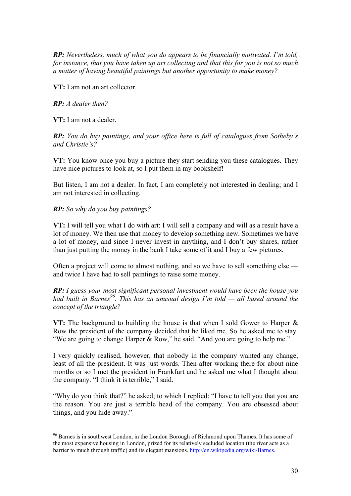*RP: Nevertheless, much of what you do appears to be financially motivated. I'm told, for instance, that you have taken up art collecting and that this for you is not so much a matter of having beautiful paintings but another opportunity to make money?* 

**VT:** I am not an art collector.

*RP: A dealer then?* 

 $\overline{a}$ 

**VT:** I am not a dealer.

*RP: You do buy paintings, and your office here is full of catalogues from Sotheby's and Christie's?* 

**VT:** You know once you buy a picture they start sending you these catalogues. They have nice pictures to look at, so I put them in my bookshelf!

But listen, I am not a dealer. In fact, I am completely not interested in dealing; and I am not interested in collecting.

#### *RP: So why do you buy paintings?*

**VT:** I will tell you what I do with art: I will sell a company and will as a result have a lot of money. We then use that money to develop something new. Sometimes we have a lot of money, and since I never invest in anything, and I don't buy shares, rather than just putting the money in the bank I take some of it and I buy a few pictures.

Often a project will come to almost nothing, and so we have to sell something else and twice I have had to sell paintings to raise some money.

*RP: I guess your most significant personal investment would have been the house you had built in Barnes[96.](#page-29-0) This has an unusual design I'm told — all based around the concept of the triangle?* 

**VT:** The background to building the house is that when I sold Gower to Harper & Row the president of the company decided that he liked me. So he asked me to stay. "We are going to change Harper & Row," he said. "And you are going to help me."

I very quickly realised, however, that nobody in the company wanted any change, least of all the president. It was just words. Then after working there for about nine months or so I met the president in Frankfurt and he asked me what I thought about the company. "I think it is terrible," I said.

"Why do you think that?" he asked; to which I replied: "I have to tell you that you are the reason. You are just a terrible head of the company. You are obsessed about things, and you hide away."

<span id="page-29-0"></span><sup>&</sup>lt;sup>96</sup> Barnes is in southwest London, in the London Borough of Richmond upon Thames. It has some of the most expensive housing in London, prized for its relatively secluded location (the river acts as a barrier to much through traffic) and its elegant mansions. <http://en.wikipedia.org/wiki/Barnes>.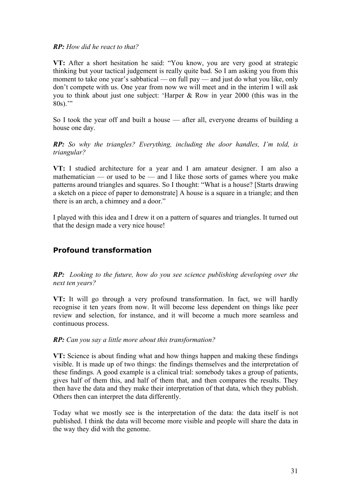#### *RP: How did he react to that?*

**VT:** After a short hesitation he said: "You know, you are very good at strategic thinking but your tactical judgement is really quite bad. So I am asking you from this moment to take one year's sabbatical — on full pay — and just do what you like, only don't compete with us. One year from now we will meet and in the interim I will ask you to think about just one subject: 'Harper & Row in year 2000 (this was in the  $80s$ )."

So I took the year off and built a house — after all, everyone dreams of building a house one day.

*RP: So why the triangles? Everything, including the door handles, I'm told, is triangular?* 

**VT:** I studied architecture for a year and I am amateur designer. I am also a mathematician — or used to be — and I like those sorts of games where you make patterns around triangles and squares. So I thought: "What is a house? [Starts drawing a sketch on a piece of paper to demonstrate] A house is a square in a triangle; and then there is an arch, a chimney and a door."

I played with this idea and I drew it on a pattern of squares and triangles. It turned out that the design made a very nice house!

## **Profound transformation**

*RP: Looking to the future, how do you see science publishing developing over the next ten years?* 

**VT:** It will go through a very profound transformation. In fact, we will hardly recognise it ten years from now. It will become less dependent on things like peer review and selection, for instance, and it will become a much more seamless and continuous process.

#### *RP: Can you say a little more about this transformation?*

**VT:** Science is about finding what and how things happen and making these findings visible. It is made up of two things: the findings themselves and the interpretation of these findings. A good example is a clinical trial: somebody takes a group of patients, gives half of them this, and half of them that, and then compares the results. They then have the data and they make their interpretation of that data, which they publish. Others then can interpret the data differently.

Today what we mostly see is the interpretation of the data: the data itself is not published. I think the data will become more visible and people will share the data in the way they did with the genome.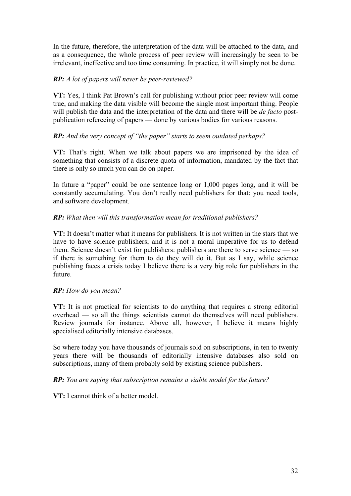In the future, therefore, the interpretation of the data will be attached to the data, and as a consequence, the whole process of peer review will increasingly be seen to be irrelevant, ineffective and too time consuming. In practice, it will simply not be done.

#### *RP: A lot of papers will never be peer-reviewed?*

**VT:** Yes, I think Pat Brown's call for publishing without prior peer review will come true, and making the data visible will become the single most important thing. People will publish the data and the interpretation of the data and there will be *de facto* postpublication refereeing of papers — done by various bodies for various reasons.

#### *RP: And the very concept of "the paper" starts to seem outdated perhaps?*

**VT:** That's right. When we talk about papers we are imprisoned by the idea of something that consists of a discrete quota of information, mandated by the fact that there is only so much you can do on paper.

In future a "paper" could be one sentence long or 1,000 pages long, and it will be constantly accumulating. You don't really need publishers for that: you need tools, and software development.

#### *RP: What then will this transformation mean for traditional publishers?*

**VT:** It doesn't matter what it means for publishers. It is not written in the stars that we have to have science publishers; and it is not a moral imperative for us to defend them. Science doesn't exist for publishers: publishers are there to serve science — so if there is something for them to do they will do it. But as I say, while science publishing faces a crisis today I believe there is a very big role for publishers in the future.

#### *RP: How do you mean?*

**VT:** It is not practical for scientists to do anything that requires a strong editorial overhead — so all the things scientists cannot do themselves will need publishers. Review journals for instance. Above all, however, I believe it means highly specialised editorially intensive databases.

So where today you have thousands of journals sold on subscriptions, in ten to twenty years there will be thousands of editorially intensive databases also sold on subscriptions, many of them probably sold by existing science publishers.

*RP: You are saying that subscription remains a viable model for the future?* 

**VT:** I cannot think of a better model.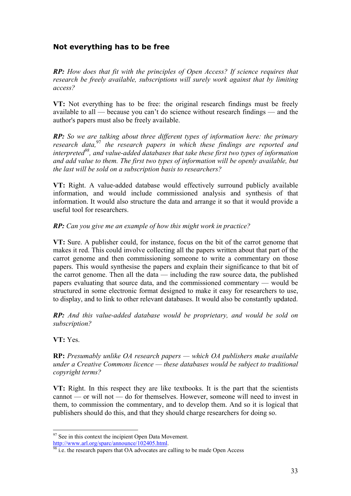## **Not everything has to be free**

*RP: How does that fit with the principles of Open Access? If science requires that research be freely available, subscriptions will surely work against that by limiting access?* 

**VT:** Not everything has to be free: the original research findings must be freely available to all — because you can't do science without research findings — and the author's papers must also be freely available.

*RP: So we are talking about three different types of information here: the primary research data,*[97](#page-32-0) *the research papers in which these findings are reported and interprete[d98,](#page-32-1) and value-added databases that take these first two types of information and add value to them. The first two types of information will be openly available, but the last will be sold on a subscription basis to researchers?* 

**VT:** Right. A value-added database would effectively surround publicly available information, and would include commissioned analysis and synthesis of that information. It would also structure the data and arrange it so that it would provide a useful tool for researchers.

*RP: Can you give me an example of how this might work in practice?* 

**VT:** Sure. A publisher could, for instance, focus on the bit of the carrot genome that makes it red. This could involve collecting all the papers written about that part of the carrot genome and then commissioning someone to write a commentary on those papers. This would synthesise the papers and explain their significance to that bit of the carrot genome. Then all the data — including the raw source data, the published papers evaluating that source data, and the commissioned commentary — would be structured in some electronic format designed to make it easy for researchers to use, to display, and to link to other relevant databases. It would also be constantly updated.

*RP: And this value-added database would be proprietary, and would be sold on subscription?* 

**VT:** Yes.

 $\overline{a}$ 

**RP:** *Presumably unlike OA research papers — which OA publishers make available under a Creative Commons licence — these databases would be subject to traditional copyright terms?* 

**VT:** Right. In this respect they are like textbooks. It is the part that the scientists cannot — or will not — do for themselves. However, someone will need to invest in them, to commission the commentary, and to develop them. And so it is logical that publishers should do this, and that they should charge researchers for doing so.

<span id="page-32-0"></span><sup>&</sup>lt;sup>97</sup> See in this context the incipient Open Data Movement.<br>http://www.arl.org/sparc/announce/102405.html.

<span id="page-32-1"></span> $\frac{1}{98}$  $\frac{1}{98}$  $\frac{1}{98}$  i.e. the research papers that OA advocates are calling to be made Open Access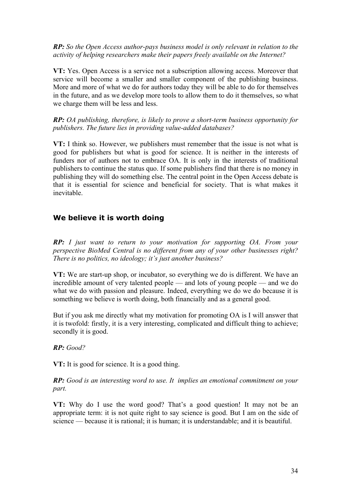*RP: So the Open Access author-pays business model is only relevant in relation to the activity of helping researchers make their papers freely available on the Internet?* 

**VT:** Yes. Open Access is a service not a subscription allowing access. Moreover that service will become a smaller and smaller component of the publishing business. More and more of what we do for authors today they will be able to do for themselves in the future, and as we develop more tools to allow them to do it themselves, so what we charge them will be less and less.

*RP: OA publishing, therefore, is likely to prove a short-term business opportunity for publishers. The future lies in providing value-added databases?* 

**VT:** I think so. However, we publishers must remember that the issue is not what is good for publishers but what is good for science. It is neither in the interests of funders nor of authors not to embrace OA. It is only in the interests of traditional publishers to continue the status quo. If some publishers find that there is no money in publishing they will do something else. The central point in the Open Access debate is that it is essential for science and beneficial for society. That is what makes it inevitable.

## **We believe it is worth doing**

*RP: I just want to return to your motivation for supporting OA. From your perspective BioMed Central is no different from any of your other businesses right? There is no politics, no ideology; it's just another business?* 

**VT:** We are start-up shop, or incubator, so everything we do is different. We have an incredible amount of very talented people — and lots of young people — and we do what we do with passion and pleasure. Indeed, everything we do we do because it is something we believe is worth doing, both financially and as a general good.

But if you ask me directly what my motivation for promoting OA is I will answer that it is twofold: firstly, it is a very interesting, complicated and difficult thing to achieve; secondly it is good.

#### *RP: Good?*

**VT:** It is good for science. It is a good thing.

#### *RP: Good is an interesting word to use. It implies an emotional commitment on your part.*

**VT:** Why do I use the word good? That's a good question! It may not be an appropriate term: it is not quite right to say science is good. But I am on the side of science — because it is rational; it is human; it is understandable; and it is beautiful.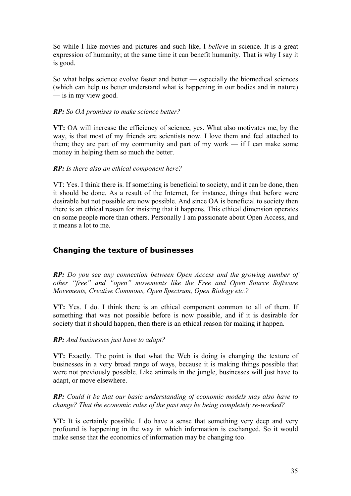So while I like movies and pictures and such like, I *believ*e in science. It is a great expression of humanity; at the same time it can benefit humanity. That is why I say it is good.

So what helps science evolve faster and better — especially the biomedical sciences (which can help us better understand what is happening in our bodies and in nature) — is in my view good.

#### *RP: So OA promises to make science better?*

**VT:** OA will increase the efficiency of science, yes. What also motivates me, by the way, is that most of my friends are scientists now. I love them and feel attached to them; they are part of my community and part of my work — if I can make some money in helping them so much the better.

#### *RP: Is there also an ethical component here?*

VT: Yes. I think there is. If something is beneficial to society, and it can be done, then it should be done. As a result of the Internet, for instance, things that before were desirable but not possible are now possible. And since OA is beneficial to society then there is an ethical reason for insisting that it happens. This ethical dimension operates on some people more than others. Personally I am passionate about Open Access, and it means a lot to me.

## **Changing the texture of businesses**

*RP: Do you see any connection between Open Access and the growing number of other "free" and "open" movements like the Free and Open Source Software Movements, Creative Commons, Open Spectrum, Open Biology etc.?* 

**VT:** Yes. I do. I think there is an ethical component common to all of them. If something that was not possible before is now possible, and if it is desirable for society that it should happen, then there is an ethical reason for making it happen.

#### *RP: And businesses just have to adapt?*

**VT:** Exactly. The point is that what the Web is doing is changing the texture of businesses in a very broad range of ways, because it is making things possible that were not previously possible. Like animals in the jungle, businesses will just have to adapt, or move elsewhere.

*RP: Could it be that our basic understanding of economic models may also have to change? That the economic rules of the past may be being completely re-worked?* 

**VT:** It is certainly possible. I do have a sense that something very deep and very profound is happening in the way in which information is exchanged. So it would make sense that the economics of information may be changing too.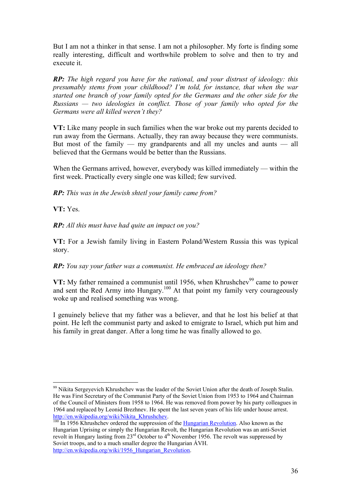But I am not a thinker in that sense. I am not a philosopher. My forte is finding some really interesting, difficult and worthwhile problem to solve and then to try and execute it.

*RP: The high regard you have for the rational, and your distrust of ideology: this presumably stems from your childhood? I'm told, for instance, that when the war started one branch of your family opted for the Germans and the other side for the Russians — two ideologies in conflict. Those of your family who opted for the Germans were all killed weren't they?* 

**VT:** Like many people in such families when the war broke out my parents decided to run away from the Germans. Actually, they ran away because they were communists. But most of the family — my grandparents and all my uncles and aunts — all believed that the Germans would be better than the Russians.

When the Germans arrived, however, everybody was killed immediately — within the first week. Practically every single one was killed; few survived.

*RP: This was in the Jewish shtetl your family came from?* 

**VT:** Yes.

 $\overline{a}$ 

*RP: All this must have had quite an impact on you?* 

**VT:** For a Jewish family living in Eastern Poland/Western Russia this was typical story.

#### *RP: You say your father was a communist. He embraced an ideology then?*

**VT:** My father remained a communist until 1956, when Khrushchev<sup>99</sup> came to power and sent the Red Army into Hungary.<sup>100</sup> At that point my family very courageously woke up and realised something was wrong.

I genuinely believe that my father was a believer, and that he lost his belief at that point. He left the communist party and asked to emigrate to Israel, which put him and his family in great danger. After a long time he was finally allowed to go.

<span id="page-35-0"></span><sup>&</sup>lt;sup>99</sup> Nikita Sergeyevich Khrushchev was the leader of the Soviet Union after the death of Joseph Stalin. He was First Secretary of the Communist Party of the Soviet Union from 1953 to 1964 and Chairman of the Council of Ministers from 1958 to 1964. He was removed from power by his party colleagues in 1964 and replaced by Leonid Brezhnev. He spent the last seven years of his life under house arrest. [http://en.wikipedia.org/wiki/Nikita\\_Khrushchev](http://en.wikipedia.org/wiki/Nikita_Khrushchev).<br><sup>[100](http://en.wikipedia.org/wiki/Nikita_Khrushchev)</sup> In 1956 Khrushchev ordered the suppression of the <u>[Hungarian Revolution](http://en.wikipedia.org/wiki/1956_Hungarian_Revolution)</u>. Also known as the

<span id="page-35-1"></span>Hungarian Uprising or simply the Hungarian Revolt, the Hungarian Revolution was an anti-Soviet revolt in Hungary lasting from 23<sup>rd</sup> October to 4<sup>th</sup> November 1956. The revolt was suppressed by Soviet troops, and to a much smaller degree the Hungarian ÁVH. [http://en.wikipedia.org/wiki/1956\\_Hungarian\\_Revolution.](http://en.wikipedia.org/wiki/1956_Hungarian_Revolution)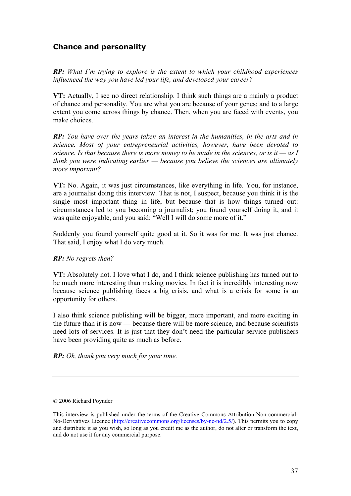## **Chance and personality**

*RP: What I'm trying to explore is the extent to which your childhood experiences influenced the way you have led your life, and developed your career?* 

**VT:** Actually, I see no direct relationship. I think such things are a mainly a product of chance and personality. You are what you are because of your genes; and to a large extent you come across things by chance. Then, when you are faced with events, you make choices.

*RP: You have over the years taken an interest in the humanities, in the arts and in science. Most of your entrepreneurial activities, however, have been devoted to science. Is that because there is more money to be made in the sciences, or is it — as I think you were indicating earlier — because you believe the sciences are ultimately more important?* 

**VT:** No. Again, it was just circumstances, like everything in life. You, for instance, are a journalist doing this interview. That is not, I suspect, because you think it is the single most important thing in life, but because that is how things turned out: circumstances led to you becoming a journalist; you found yourself doing it, and it was quite enjoyable, and you said: "Well I will do some more of it."

Suddenly you found yourself quite good at it. So it was for me. It was just chance. That said, I enjoy what I do very much.

*RP: No regrets then?* 

**VT:** Absolutely not. I love what I do, and I think science publishing has turned out to be much more interesting than making movies. In fact it is incredibly interesting now because science publishing faces a big crisis, and what is a crisis for some is an opportunity for others.

I also think science publishing will be bigger, more important, and more exciting in the future than it is now — because there will be more science, and because scientists need lots of services. It is just that they don't need the particular service publishers have been providing quite as much as before.

*RP: Ok, thank you very much for your time.* 

© 2006 Richard Poynder

This interview is published under the terms of the Creative Commons Attribution-Non-commercial-No-Derivatives Licence ([http://creativecommons.org/licenses/by-nc-nd/2.5/\)](http://creativecommons.org/licenses/by-nc-nd/2.5/). This permits you to copy and distribute it as you wish, so long as you credit me as the author, do not alter or transform the text, and do not use it for any commercial purpose.